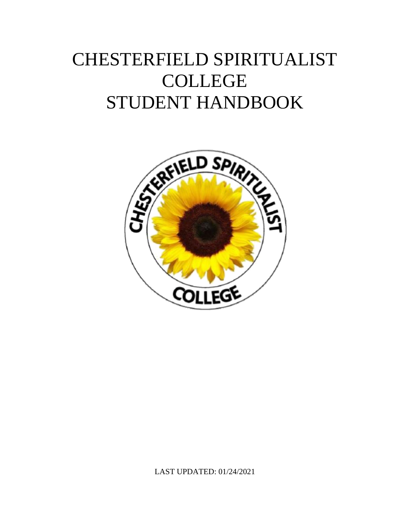# CHESTERFIELD SPIRITUALIST COLLEGE STUDENT HANDBOOK



LAST UPDATED: 01/24/2021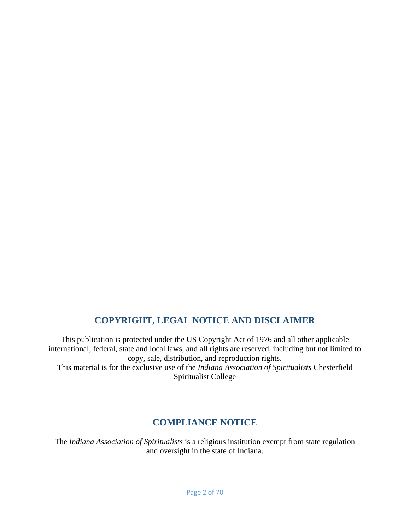### **COPYRIGHT, LEGAL NOTICE AND DISCLAIMER**

<span id="page-1-0"></span>This publication is protected under the US Copyright Act of 1976 and all other applicable international, federal, state and local laws, and all rights are reserved, including but not limited to copy, sale, distribution, and reproduction rights. This material is for the exclusive use of the *Indiana Association of Spiritualists* Chesterfield Spiritualist College

### **COMPLIANCE NOTICE**

<span id="page-1-1"></span>The *Indiana Association of Spiritualists* is a religious institution exempt from state regulation and oversight in the state of Indiana.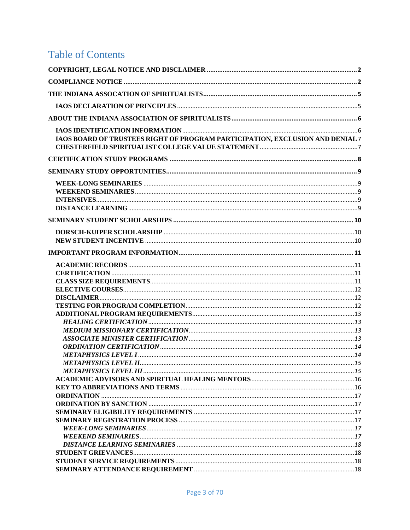# **Table of Contents**

| IAOS BOARD OF TRUSTEES RIGHT OF PROGRAM PARTICIPATION, EXCLUSION AND DENIAL 7 |  |
|-------------------------------------------------------------------------------|--|
|                                                                               |  |
|                                                                               |  |
|                                                                               |  |
|                                                                               |  |
|                                                                               |  |
|                                                                               |  |
|                                                                               |  |
|                                                                               |  |
|                                                                               |  |
|                                                                               |  |
|                                                                               |  |
|                                                                               |  |
|                                                                               |  |
|                                                                               |  |
|                                                                               |  |
|                                                                               |  |
|                                                                               |  |
|                                                                               |  |
|                                                                               |  |
|                                                                               |  |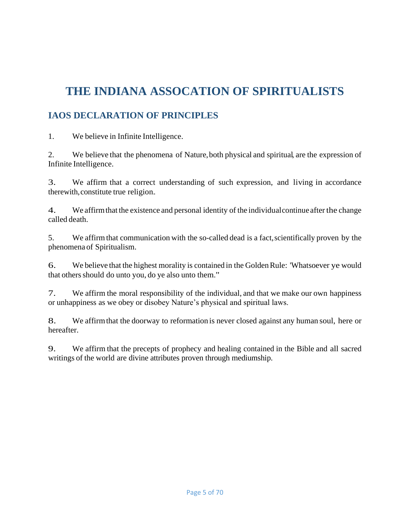# <span id="page-4-0"></span>**THE INDIANA ASSOCATION OF SPIRITUALISTS**

## <span id="page-4-1"></span>**IAOS DECLARATION OF PRINCIPLES**

1. We believe in Infinite Intelligence.

2. We believe that the phenomena of Nature,both physical and spiritual, are the expression of Infinite Intelligence.

3. We affirm that a correct understanding of such expression, and living in accordance therewith,constitute true religion.

4. We affirmthat the existence and personal identity of the individualcontinue after the change called death.

5. We affirmthat communication with the so-called dead is a fact,scientifically proven by the phenomena of Spiritualism.

6. We believe that the highest morality is contained in the GoldenRule: 'Whatsoever ye would that others should do unto you, do ye also unto them."

7. We affirm the moral responsibility of the individual, and that we make our own happiness or unhappiness as we obey or disobey Nature's physical and spiritual laws.

8. We affirmthat the doorway to reformation is never closed against any human soul, here or hereafter.

9. We affirm that the precepts of prophecy and healing contained in the Bible and all sacred writings of the world are divine attributes proven through mediumship.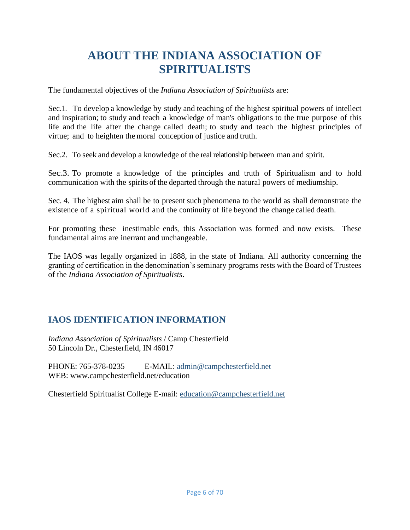# **ABOUT THE INDIANA ASSOCIATION OF SPIRITUALISTS**

<span id="page-5-0"></span>The fundamental objectives of the *Indiana Association of Spiritualists* are:

Sec.1. To develop a knowledge by study and teaching of the highest spiritual powers of intellect and inspiration; to study and teach a knowledge of man's obligations to the true purpose of this life and the life after the change called death; to study and teach the highest principles of virtue; and to heighten the moral conception of justice and truth.

Sec.2. To seek and develop a knowledge of the real relationship between man and spirit.

Sec.3. To promote a knowledge of the principles and truth of Spiritualism and to hold communication with the spirits of the departed through the natural powers of mediumship.

Sec. 4. The highest aim shall be to present such phenomena to the world as shall demonstrate the existence of a spiritual world and the continuity of life beyond the change called death.

For promoting these inestimable ends, this Association was formed and now exists. These fundamental aims are inerrant and unchangeable.

The IAOS was legally organized in 1888, in the state of Indiana. All authority concerning the granting of certification in the denomination's seminary programs rests with the Board of Trustees of the *Indiana Association of Spiritualists*.

# <span id="page-5-1"></span>**IAOS IDENTIFICATION INFORMATION**

*Indiana Association of Spiritualists* / Camp Chesterfield 50 Lincoln Dr., Chesterfield, IN 46017

PHONE: 765-378-0235 E-MAIL: [admin@campchesterfield.net](mailto:admin@campchesterfield.net) WEB: www.campchesterfield.net/education

Chesterfield Spiritualist College E-mail: [education@campchesterfield.net](mailto:education@campchesterfield.net)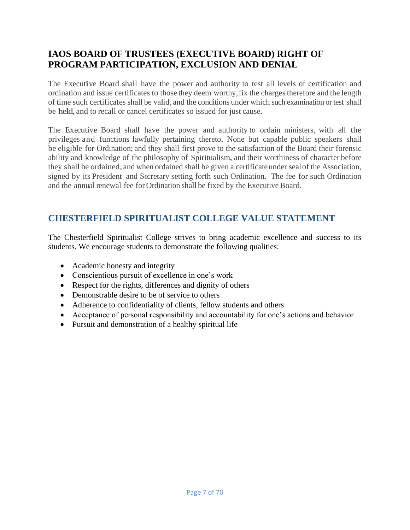### <span id="page-6-0"></span>**IAOS BOARD OF TRUSTEES (EXECUTIVE BOARD) RIGHT OF PROGRAM PARTICIPATION, EXCLUSION AND DENIAL**

The Executive Board shall have the power and authority to test all levels of certification and ordination and issue certificates to those they deem worthy, fix the charges therefore and the length of time such certificates shall be valid, and the conditions under which such examination or test shall be held, and to recall or cancel certificates so issued for just cause.

The Executive Board shall have the power and authority to ordain ministers, with all the privileges and functions lawfully pertaining thereto. None but capable public speakers shall be eligible for Ordination; and they shall first prove to the satisfaction of the Board their forensic ability and knowledge of the philosophy of Spiritualism, and their worthiness of character before they shall be ordained, and when ordained shall be given a certificate under seal of the Association, signed by its President and Secretary setting forth such Ordination. The fee for such Ordination and the annual renewal fee for Ordination shall be fixed by the Executive Board.

## <span id="page-6-1"></span>**CHESTERFIELD SPIRITUALIST COLLEGE VALUE STATEMENT**

The Chesterfield Spiritualist College strives to bring academic excellence and success to its students. We encourage students to demonstrate the following qualities:

- Academic honesty and integrity
- Conscientious pursuit of excellence in one's work
- Respect for the rights, differences and dignity of others
- Demonstrable desire to be of service to others
- Adherence to confidentiality of clients, fellow students and others
- Acceptance of personal responsibility and accountability for one's actions and behavior
- Pursuit and demonstration of a healthy spiritual life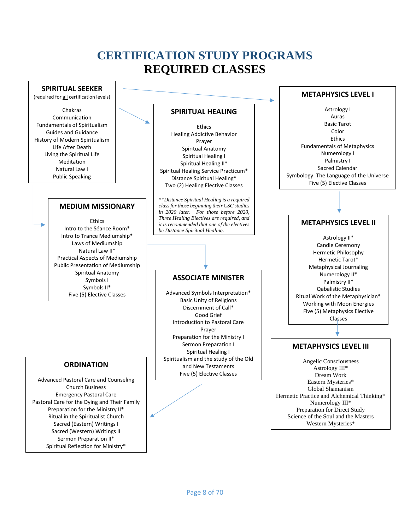# **CERTIFICATION STUDY PROGRAMS REQUIRED CLASSES**

<span id="page-7-0"></span>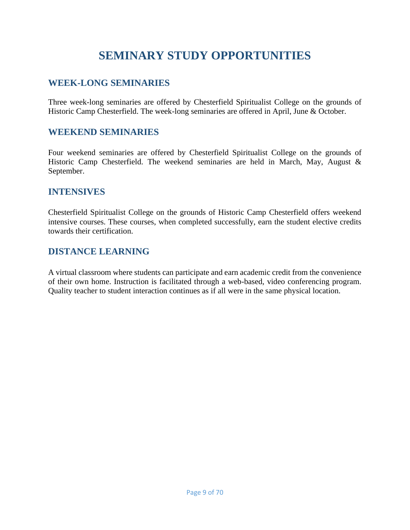# **SEMINARY STUDY OPPORTUNITIES**

### <span id="page-8-1"></span><span id="page-8-0"></span>**WEEK-LONG SEMINARIES**

Three week-long seminaries are offered by Chesterfield Spiritualist College on the grounds of Historic Camp Chesterfield. The week-long seminaries are offered in April, June & October.

### <span id="page-8-2"></span>**WEEKEND SEMINARIES**

Four weekend seminaries are offered by Chesterfield Spiritualist College on the grounds of Historic Camp Chesterfield. The weekend seminaries are held in March, May, August & September.

### <span id="page-8-3"></span>**INTENSIVES**

Chesterfield Spiritualist College on the grounds of Historic Camp Chesterfield offers weekend intensive courses. These courses, when completed successfully, earn the student elective credits towards their certification.

### <span id="page-8-4"></span>**DISTANCE LEARNING**

A virtual classroom where students can participate and earn academic credit from the convenience of their own home. Instruction is facilitated through a web-based, video conferencing program. Quality teacher to student interaction continues as if all were in the same physical location.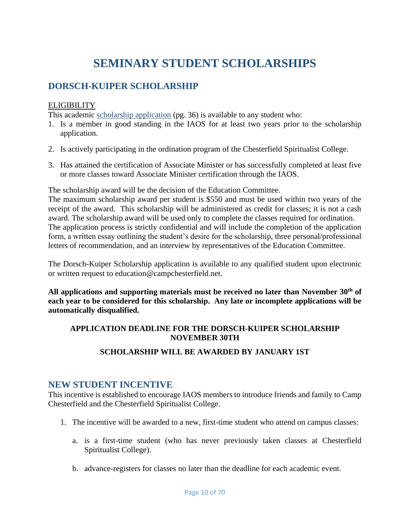# **SEMINARY STUDENT SCHOLARSHIPS**

### <span id="page-9-1"></span><span id="page-9-0"></span>**DORSCH-KUIPER SCHOLARSHIP**

#### **ELIGIBILITY**

This academic [scholarship application](#page-35-0) (pg. [36\)](#page-35-0) is available to any student who:

- 1. Is a member in good standing in the IAOS for at least two years prior to the scholarship application.
- 2. Is actively participating in the ordination program of the Chesterfield Spiritualist College.
- 3. Has attained the certification of Associate Minister or has successfully completed at least five or more classes toward Associate Minister certification through the IAOS.

The scholarship award will be the decision of the Education Committee.

The maximum scholarship award per student is \$550 and must be used within two years of the receipt of the award. This scholarship will be administered as credit for classes; it is not a cash award. The scholarship award will be used only to complete the classes required for ordination. The application process is strictly confidential and will include the completion of the application form, a written essay outlining the student's desire for the scholarship, three personal/professional letters of recommendation, and an interview by representatives of the Education Committee.

The Dorsch-Kuiper Scholarship application is available to any qualified student upon electronic or written request to education@campchesterfield.net.

**All applications and supporting materials must be received no later than November 30th of each year to be considered for this scholarship. Any late or incomplete applications will be automatically disqualified.**

#### **APPLICATION DEADLINE FOR THE DORSCH-KUIPER SCHOLARSHIP NOVEMBER 30TH**

#### **SCHOLARSHIP WILL BE AWARDED BY JANUARY 1ST**

#### <span id="page-9-2"></span>**NEW STUDENT INCENTIVE**

This incentive is established to encourage IAOS members to introduce friends and family to Camp Chesterfield and the Chesterfield Spiritualist College.

- 1. The incentive will be awarded to a new, first-time student who attend on campus classes:
	- a. is a first-time student (who has never previously taken classes at Chesterfield Spiritualist College).
	- b. advance-registers for classes no later than the deadline for each academic event.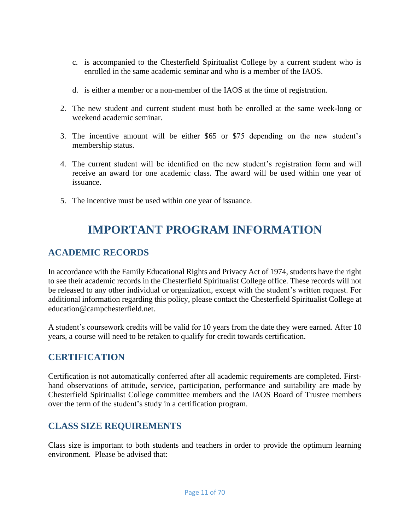- c. is accompanied to the Chesterfield Spiritualist College by a current student who is enrolled in the same academic seminar and who is a member of the IAOS.
- d. is either a member or a non-member of the IAOS at the time of registration.
- 2. The new student and current student must both be enrolled at the same week-long or weekend academic seminar.
- 3. The incentive amount will be either \$65 or \$75 depending on the new student's membership status.
- 4. The current student will be identified on the new student's registration form and will receive an award for one academic class. The award will be used within one year of issuance.
- <span id="page-10-0"></span>5. The incentive must be used within one year of issuance.

# **IMPORTANT PROGRAM INFORMATION**

### <span id="page-10-1"></span>**ACADEMIC RECORDS**

In accordance with the Family Educational Rights and Privacy Act of 1974, students have the right to see their academic records in the Chesterfield Spiritualist College office. These records will not be released to any other individual or organization, except with the student's written request. For additional information regarding this policy, please contact the Chesterfield Spiritualist College at education@campchesterfield.net.

A student's coursework credits will be valid for 10 years from the date they were earned. After 10 years, a course will need to be retaken to qualify for credit towards certification.

### <span id="page-10-2"></span>**CERTIFICATION**

Certification is not automatically conferred after all academic requirements are completed. Firsthand observations of attitude, service, participation, performance and suitability are made by Chesterfield Spiritualist College committee members and the IAOS Board of Trustee members over the term of the student's study in a certification program.

### <span id="page-10-3"></span>**CLASS SIZE REQUIREMENTS**

Class size is important to both students and teachers in order to provide the optimum learning environment. Please be advised that: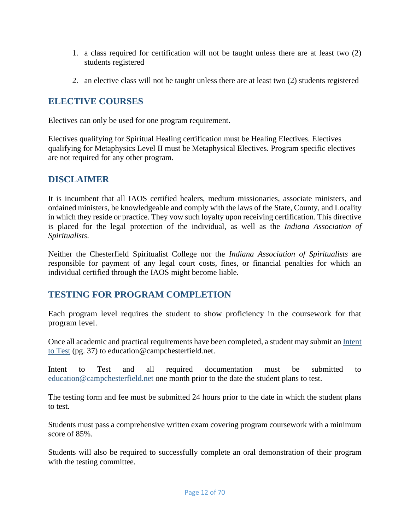- 1. a class required for certification will not be taught unless there are at least two (2) students registered
- 2. an elective class will not be taught unless there are at least two (2) students registered

#### <span id="page-11-0"></span>**ELECTIVE COURSES**

Electives can only be used for one program requirement.

Electives qualifying for Spiritual Healing certification must be Healing Electives. Electives qualifying for Metaphysics Level II must be Metaphysical Electives. Program specific electives are not required for any other program.

### <span id="page-11-1"></span>**DISCLAIMER**

It is incumbent that all IAOS certified healers, medium missionaries, associate ministers, and ordained ministers, be knowledgeable and comply with the laws of the State, County, and Locality in which they reside or practice. They vow such loyalty upon receiving certification. This directive is placed for the legal protection of the individual, as well as the *Indiana Association of Spiritualists*.

Neither the Chesterfield Spiritualist College nor the *Indiana Association of Spiritualists* are responsible for payment of any legal court costs, fines, or financial penalties for which an individual certified through the IAOS might become liable.

### <span id="page-11-2"></span>**TESTING FOR PROGRAM COMPLETION**

Each program level requires the student to show proficiency in the coursework for that program level.

Once all academic and practical requirements have been completed, a student may submit an [Intent](#page-36-0)  [to Test](#page-36-0) (pg. [37\)](#page-36-0) to education@campchesterfield.net.

Intent to Test and all required documentation must be submitted to [education@campchesterfield.net](mailto:education@campchesterfield.net) one month prior to the date the student plans to test.

The testing form and fee must be submitted 24 hours prior to the date in which the student plans to test.

Students must pass a comprehensive written exam covering program coursework with a minimum score of 85%.

Students will also be required to successfully complete an oral demonstration of their program with the testing committee.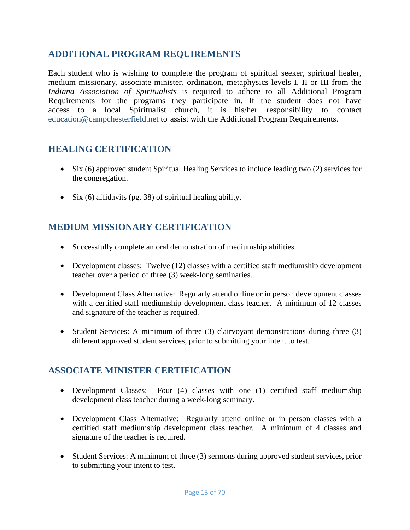### <span id="page-12-0"></span>**ADDITIONAL PROGRAM REQUIREMENTS**

Each student who is wishing to complete the program of spiritual seeker, spiritual healer, medium missionary, associate minister, ordination, metaphysics levels I, II or III from the *Indiana Association of Spiritualists* is required to adhere to all Additional Program Requirements for the programs they participate in. If the student does not have access to a local Spiritualist church, it is his/her responsibility to contact [education@campchesterfield.net](mailto:education@campchesterfield.net) to assist with the Additional Program Requirements.

### <span id="page-12-1"></span>**HEALING CERTIFICATION**

- Six (6) approved student Spiritual Healing Services to include leading two (2) services for the congregation.
- Six (6) affidavits (pg. [38\)](#page-37-0) of spiritual healing ability.

### <span id="page-12-2"></span>**MEDIUM MISSIONARY CERTIFICATION**

- Successfully complete an oral demonstration of mediumship abilities.
- Development classes: Twelve (12) classes with a certified staff mediumship development teacher over a period of three (3) week-long seminaries.
- Development Class Alternative: Regularly attend online or in person development classes with a certified staff mediumship development class teacher. A minimum of 12 classes and signature of the teacher is required.
- Student Services: A minimum of three (3) clairvoyant demonstrations during three (3) different approved student services, prior to submitting your intent to test.

### <span id="page-12-3"></span>**ASSOCIATE MINISTER CERTIFICATION**

- Development Classes: Four (4) classes with one (1) certified staff mediumship development class teacher during a week-long seminary.
- Development Class Alternative: Regularly attend online or in person classes with a certified staff mediumship development class teacher. A minimum of 4 classes and signature of the teacher is required.
- Student Services: A minimum of three (3) sermons during approved student services, prior to submitting your intent to test.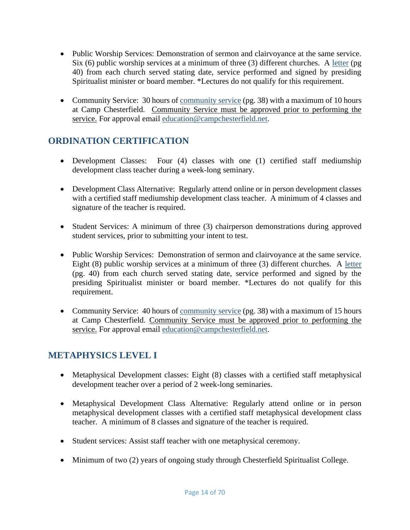- Public Worship Services: Demonstration of sermon and clairvoyance at the same service. Six (6) public worship services at a minimum of three (3) different churches. A [letter](#page-39-0) (pg [40\)](#page-39-0) from each church served stating date, service performed and signed by presiding Spiritualist minister or board member. \*Lectures do not qualify for this requirement.
- Community Service: 30 hours of [community service](#page-37-1) (pg. [38\)](#page-37-1) with a maximum of 10 hours at Camp Chesterfield. Community Service must be approved prior to performing the service. For approval email [education@campchesterfield.net.](mailto:education@campchesterfield.net)

## <span id="page-13-0"></span>**ORDINATION CERTIFICATION**

- Development Classes: Four (4) classes with one (1) certified staff mediumship development class teacher during a week-long seminary.
- Development Class Alternative: Regularly attend online or in person development classes with a certified staff mediumship development class teacher. A minimum of 4 classes and signature of the teacher is required.
- Student Services: A minimum of three (3) chairperson demonstrations during approved student services, prior to submitting your intent to test.
- Public Worship Services: Demonstration of sermon and clairvoyance at the same service. Eight (8) public worship services at a minimum of three (3) different churches. A [letter](#page-39-0) (pg. [40\)](#page-39-0) from each church served stating date, service performed and signed by the presiding Spiritualist minister or board member. \*Lectures do not qualify for this requirement.
- Community Service: 40 hours of <u>community service</u> (pg. [38\)](#page-37-1) with a maximum of 15 hours at Camp Chesterfield. Community Service must be approved prior to performing the service. For approval email [education@campchesterfield.net.](mailto:education@campchesterfield.net)

### <span id="page-13-1"></span>**METAPHYSICS LEVEL I**

- Metaphysical Development classes: Eight (8) classes with a certified staff metaphysical development teacher over a period of 2 week-long seminaries.
- Metaphysical Development Class Alternative: Regularly attend online or in person metaphysical development classes with a certified staff metaphysical development class teacher. A minimum of 8 classes and signature of the teacher is required.
- Student services: Assist staff teacher with one metaphysical ceremony.
- Minimum of two (2) years of ongoing study through Chesterfield Spiritualist College.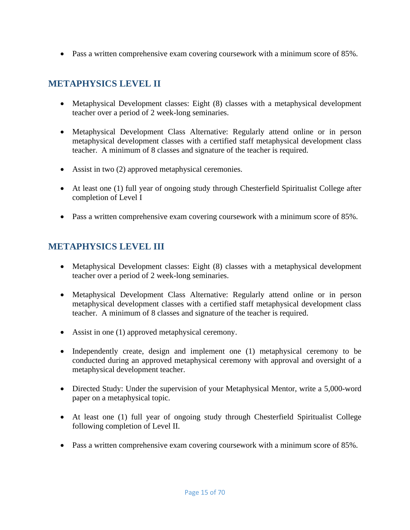• Pass a written comprehensive exam covering coursework with a minimum score of 85%.

## <span id="page-14-0"></span>**METAPHYSICS LEVEL II**

- Metaphysical Development classes: Eight (8) classes with a metaphysical development teacher over a period of 2 week-long seminaries.
- Metaphysical Development Class Alternative: Regularly attend online or in person metaphysical development classes with a certified staff metaphysical development class teacher. A minimum of 8 classes and signature of the teacher is required.
- Assist in two (2) approved metaphysical ceremonies.
- At least one (1) full year of ongoing study through Chesterfield Spiritualist College after completion of Level I
- Pass a written comprehensive exam covering coursework with a minimum score of 85%.

### <span id="page-14-1"></span>**METAPHYSICS LEVEL III**

- Metaphysical Development classes: Eight (8) classes with a metaphysical development teacher over a period of 2 week-long seminaries.
- Metaphysical Development Class Alternative: Regularly attend online or in person metaphysical development classes with a certified staff metaphysical development class teacher. A minimum of 8 classes and signature of the teacher is required.
- Assist in one (1) approved metaphysical ceremony.
- Independently create, design and implement one (1) metaphysical ceremony to be conducted during an approved metaphysical ceremony with approval and oversight of a metaphysical development teacher.
- Directed Study: Under the supervision of your Metaphysical Mentor, write a 5,000-word paper on a metaphysical topic.
- At least one (1) full year of ongoing study through Chesterfield Spiritualist College following completion of Level II.
- Pass a written comprehensive exam covering coursework with a minimum score of 85%.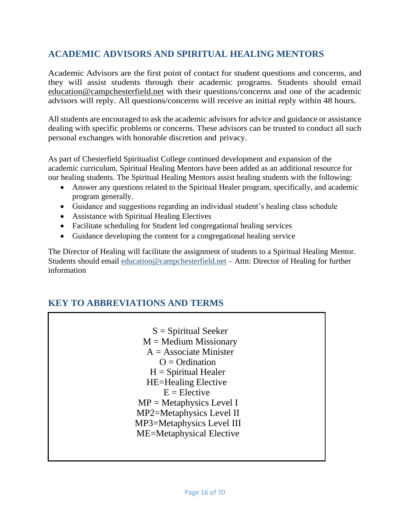### <span id="page-15-0"></span>**ACADEMIC ADVISORS AND SPIRITUAL HEALING MENTORS**

Academic Advisors are the first point of contact for student questions and concerns, and they will assist students through their academic programs. Students should email [education@campchesterfield.net](mailto:education@campchesterfield.net) with their questions/concerns and one of the academic advisors will reply. All questions/concerns will receive an initial reply within 48 hours.

All students are encouraged to ask the academic advisors for advice and guidance or assistance dealing with specific problems or concerns. These advisors can be trusted to conduct all such personal exchanges with honorable discretion and privacy.

As part of Chesterfield Spiritualist College continued development and expansion of the academic curriculum, Spiritual Healing Mentors have been added as an additional resource for our healing students. The Spiritual Healing Mentors assist healing students with the following:

- Answer any questions related to the Spiritual Healer program, specifically, and academic program generally.
- Guidance and suggestions regarding an individual student's healing class schedule
- Assistance with Spiritual Healing Electives
- Facilitate scheduling for Student led congregational healing services
- Guidance developing the content for a congregational healing service

The Director of Healing will facilitate the assignment of students to a Spiritual Healing Mentor. Students should email [education@campchesterfield.net](mailto:education@campchesterfield.net) – Attn: Director of Healing for further information

### <span id="page-15-1"></span>**KEY TO ABBREVIATIONS AND TERMS**

 $S =$  Spiritual Seeker  $M =$ Medium Missionary  $A =$  Associate Minister  $Q = \text{Ordination}$  $H =$  Spiritual Healer HE=Healing Elective  $E =$ Elective  $MP = Metaphysics Level I$ MP2=Metaphysics Level II MP3=Metaphysics Level III ME=Metaphysical Elective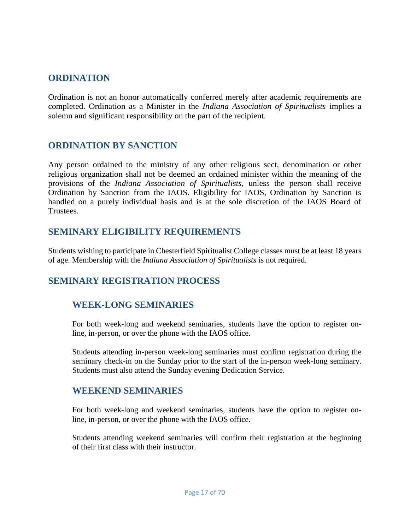### <span id="page-16-0"></span>**ORDINATION**

Ordination is not an honor automatically conferred merely after academic requirements are completed. Ordination as a Minister in the *Indiana Association of Spiritualists* implies a solemn and significant responsibility on the part of the recipient.

### <span id="page-16-1"></span>**ORDINATION BY SANCTION**

Any person ordained to the ministry of any other religious sect, denomination or other religious organization shall not be deemed an ordained minister within the meaning of the provisions of the *Indiana Association of Spiritualists*, unless the person shall receive Ordination by Sanction from the IAOS. Eligibility for IAOS, Ordination by Sanction is handled on a purely individual basis and is at the sole discretion of the IAOS Board of Trustees.

### <span id="page-16-2"></span>**SEMINARY ELIGIBILITY REQUIREMENTS**

Students wishing to participate in Chesterfield Spiritualist College classes must be at least 18 years of age. Membership with the *Indiana Association of Spiritualists* is not required.

### <span id="page-16-3"></span>**SEMINARY REGISTRATION PROCESS**

### <span id="page-16-4"></span>**WEEK-LONG SEMINARIES**

For both week-long and weekend seminaries, students have the option to register online, in-person, or over the phone with the IAOS office.

Students attending in-person week-long seminaries must confirm registration during the seminary check-in on the Sunday prior to the start of the in-person week-long seminary. Students must also attend the Sunday evening Dedication Service.

#### <span id="page-16-5"></span>**WEEKEND SEMINARIES**

For both week-long and weekend seminaries, students have the option to register online, in-person, or over the phone with the IAOS office.

Students attending weekend seminaries will confirm their registration at the beginning of their first class with their instructor.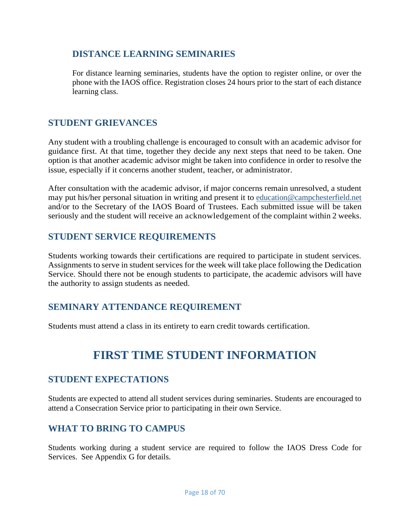### <span id="page-17-0"></span>**DISTANCE LEARNING SEMINARIES**

For distance learning seminaries, students have the option to register online, or over the phone with the IAOS office. Registration closes 24 hours prior to the start of each distance learning class.

### <span id="page-17-1"></span>**STUDENT GRIEVANCES**

Any student with a troubling challenge is encouraged to consult with an academic advisor for guidance first. At that time, together they decide any next steps that need to be taken. One option is that another academic advisor might be taken into confidence in order to resolve the issue, especially if it concerns another student, teacher, or administrator.

After consultation with the academic advisor, if major concerns remain unresolved, a student may put his/her personal situation in writing and present it to [education@campchesterfield.net](mailto:education@campchesterfield.net) and/or to the Secretary of the IAOS Board of Trustees. Each submitted issue will be taken seriously and the student will receive an acknowledgement of the complaint within 2 weeks.

### <span id="page-17-2"></span>**STUDENT SERVICE REQUIREMENTS**

Students working towards their certifications are required to participate in student services. Assignments to serve in student services for the week will take place following the Dedication Service. Should there not be enough students to participate, the academic advisors will have the authority to assign students as needed.

### <span id="page-17-3"></span>**SEMINARY ATTENDANCE REQUIREMENT**

<span id="page-17-4"></span>Students must attend a class in its entirety to earn credit towards certification.

# **FIRST TIME STUDENT INFORMATION**

### <span id="page-17-5"></span>**STUDENT EXPECTATIONS**

Students are expected to attend all student services during seminaries. Students are encouraged to attend a Consecration Service prior to participating in their own Service.

### <span id="page-17-6"></span>**WHAT TO BRING TO CAMPUS**

Students working during a student service are required to follow the IAOS Dress Code for Services. See Appendix G for details.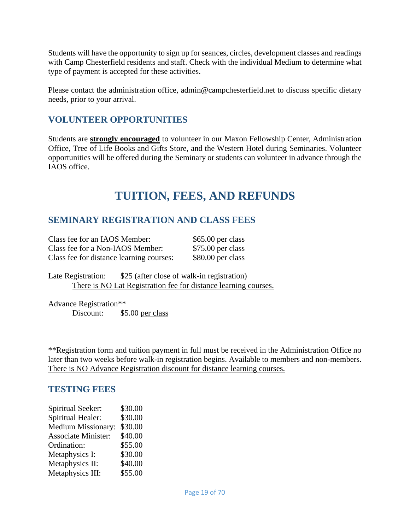Students will have the opportunity to sign up for seances, circles, development classes and readings with Camp Chesterfield residents and staff. Check with the individual Medium to determine what type of payment is accepted for these activities.

Please contact the administration office, admin@campchesterfield.net to discuss specific dietary needs, prior to your arrival.

### <span id="page-18-0"></span>**VOLUNTEER OPPORTUNITIES**

Students are **strongly encouraged** to volunteer in our Maxon Fellowship Center, Administration Office, Tree of Life Books and Gifts Store, and the Western Hotel during Seminaries. Volunteer opportunities will be offered during the Seminary or students can volunteer in advance through the IAOS office.

# **TUITION, FEES, AND REFUNDS**

### <span id="page-18-2"></span><span id="page-18-1"></span>**SEMINARY REGISTRATION AND CLASS FEES**

| Class fee for an IAOS Member:            | $$65.00$ per class |
|------------------------------------------|--------------------|
| Class fee for a Non-IAOS Member:         | $$75.00$ per class |
| Class fee for distance learning courses: | \$80.00 per class  |

Late Registration: \$25 (after close of walk-in registration) There is NO Lat Registration fee for distance learning courses.

Advance Registration\*\* Discount: \$5.00 per class

\*\*Registration form and tuition payment in full must be received in the Administration Office no later than two weeks before walk-in registration begins. Available to members and non-members. There is NO Advance Registration discount for distance learning courses.

#### <span id="page-18-3"></span>**TESTING FEES**

| Spiritual Seeker:          | \$30.00 |
|----------------------------|---------|
| Spiritual Healer:          | \$30.00 |
| <b>Medium Missionary:</b>  | \$30.00 |
| <b>Associate Minister:</b> | \$40.00 |
| Ordination:                | \$55.00 |
| Metaphysics I:             | \$30.00 |
| Metaphysics II:            | \$40.00 |
| Metaphysics III:           | \$55.00 |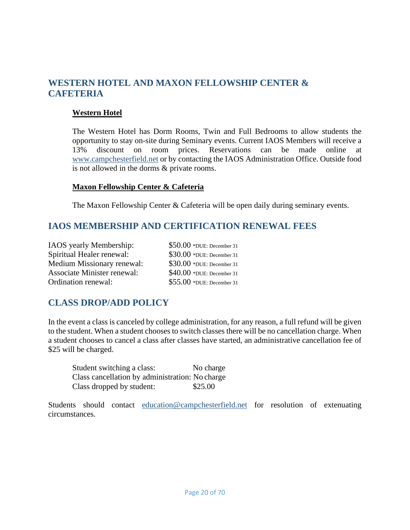### <span id="page-19-0"></span>**WESTERN HOTEL AND MAXON FELLOWSHIP CENTER & CAFETERIA**

#### **Western Hotel**

The Western Hotel has Dorm Rooms, Twin and Full Bedrooms to allow students the opportunity to stay on-site during Seminary events. Current IAOS Members will receive a 13% discount on room prices. Reservations can be made online at [www.campchesterfield.net](http://www.campchesterfield.net/) or by contacting the IAOS Administration Office. Outside food is not allowed in the dorms & private rooms.

#### **Maxon Fellowship Center & Cafeteria**

The Maxon Fellowship Center & Cafeteria will be open daily during seminary events.

### <span id="page-19-1"></span>**IAOS MEMBERSHIP AND CERTIFICATION RENEWAL FEES**

| IAOS yearly Membership:     | $$50.00$ *DUE: December 31 |
|-----------------------------|----------------------------|
| Spiritual Healer renewal:   | \$30.00 *DUE: December 31  |
| Medium Missionary renewal:  | \$30.00 *DUE: December 31  |
| Associate Minister renewal: | $$40.00$ *DUE: December 31 |
| Ordination renewal:         | $$55.00$ *DUE: December 31 |

### <span id="page-19-2"></span>**CLASS DROP/ADD POLICY**

In the event a class is canceled by college administration, for any reason, a full refund will be given to the student. When a student chooses to switch classes there will be no cancellation charge. When a student chooses to cancel a class after classes have started, an administrative cancellation fee of \$25 will be charged.

| Student switching a class:                      | No charge |
|-------------------------------------------------|-----------|
| Class cancellation by administration: No charge |           |
| Class dropped by student:                       | \$25.00   |

Students should contact [education@campchesterfield.net](mailto:education@campchesterfield.net) for resolution of extenuating circumstances.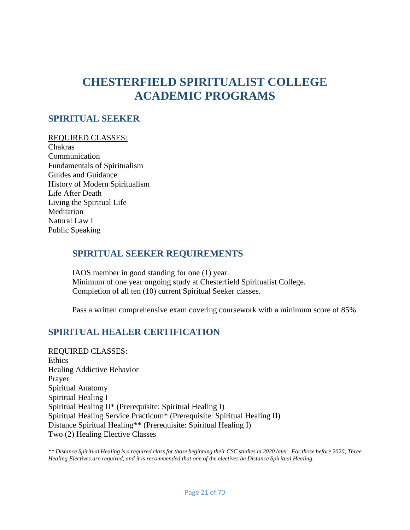# <span id="page-20-0"></span>**CHESTERFIELD SPIRITUALIST COLLEGE ACADEMIC PROGRAMS**

#### <span id="page-20-1"></span>**SPIRITUAL SEEKER**

#### REQUIRED CLASSES:

Chakras Communication Fundamentals of Spiritualism Guides and Guidance History of Modern Spiritualism Life After Death Living the Spiritual Life **Meditation** Natural Law I Public Speaking

#### <span id="page-20-2"></span>**SPIRITUAL SEEKER REQUIREMENTS**

IAOS member in good standing for one (1) year. Minimum of one year ongoing study at Chesterfield Spiritualist College. Completion of all ten (10) current Spiritual Seeker classes.

Pass a written comprehensive exam covering coursework with a minimum score of 85%.

### <span id="page-20-3"></span>**SPIRITUAL HEALER CERTIFICATION**

REQUIRED CLASSES: Ethics Healing Addictive Behavior Prayer Spiritual Anatomy Spiritual Healing I Spiritual Healing II\* (Prerequisite: Spiritual Healing I) Spiritual Healing Service Practicum\* (Prerequisite: Spiritual Healing II) Distance Spiritual Healing\*\* (Prerequisite: Spiritual Healing I) Two (2) Healing Elective Classes

*\*\* Distance Spiritual Healing is a required class for those beginning their CSC studies in 2020 later. For those before 2020, Three Healing Electives are required, and it is recommended that one of the electives be Distance Spiritual Healing.*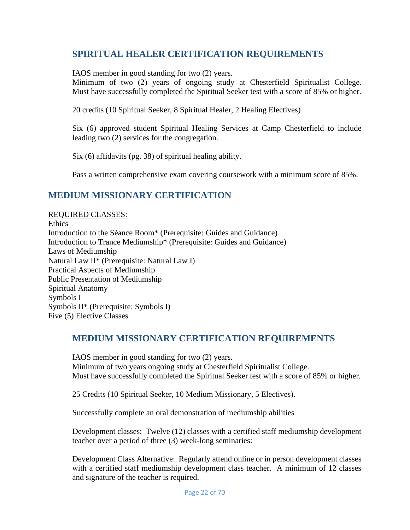### <span id="page-21-0"></span>**SPIRITUAL HEALER CERTIFICATION REQUIREMENTS**

IAOS member in good standing for two (2) years.

Minimum of two (2) years of ongoing study at Chesterfield Spiritualist College. Must have successfully completed the Spiritual Seeker test with a score of 85% or higher.

20 credits (10 Spiritual Seeker, 8 Spiritual Healer, 2 Healing Electives)

Six (6) approved student Spiritual Healing Services at Camp Chesterfield to include leading two (2) services for the congregation.

Six (6) affidavits (pg. [38\)](#page-37-0) of spiritual healing ability.

Pass a written comprehensive exam covering coursework with a minimum score of 85%.

### <span id="page-21-1"></span>**MEDIUM MISSIONARY CERTIFICATION**

REQUIRED CLASSES: **Ethics** Introduction to the Séance Room\* (Prerequisite: Guides and Guidance) Introduction to Trance Mediumship\* (Prerequisite: Guides and Guidance) Laws of Mediumship Natural Law II\* (Prerequisite: Natural Law I) Practical Aspects of Mediumship Public Presentation of Mediumship Spiritual Anatomy Symbols I Symbols II\* (Prerequisite: Symbols I) Five (5) Elective Classes

#### <span id="page-21-2"></span>**MEDIUM MISSIONARY CERTIFICATION REQUIREMENTS**

IAOS member in good standing for two (2) years. Minimum of two years ongoing study at Chesterfield Spiritualist College. Must have successfully completed the Spiritual Seeker test with a score of 85% or higher.

25 Credits (10 Spiritual Seeker, 10 Medium Missionary, 5 Electives).

Successfully complete an oral demonstration of mediumship abilities

Development classes: Twelve (12) classes with a certified staff mediumship development teacher over a period of three (3) week-long seminaries:

Development Class Alternative: Regularly attend online or in person development classes with a certified staff mediumship development class teacher. A minimum of 12 classes and signature of the teacher is required.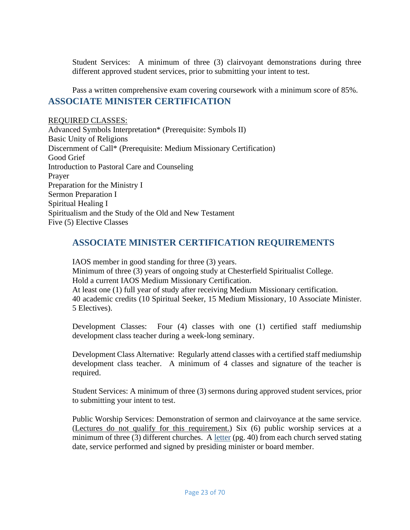Student Services: A minimum of three (3) clairvoyant demonstrations during three different approved student services, prior to submitting your intent to test.

<span id="page-22-0"></span>Pass a written comprehensive exam covering coursework with a minimum score of 85%. **ASSOCIATE MINISTER CERTIFICATION**

REQUIRED CLASSES: Advanced Symbols Interpretation\* (Prerequisite: Symbols II) Basic Unity of Religions Discernment of Call\* (Prerequisite: Medium Missionary Certification) Good Grief Introduction to Pastoral Care and Counseling Prayer Preparation for the Ministry I Sermon Preparation I Spiritual Healing I Spiritualism and the Study of the Old and New Testament Five (5) Elective Classes

### <span id="page-22-1"></span>**ASSOCIATE MINISTER CERTIFICATION REQUIREMENTS**

IAOS member in good standing for three (3) years. Minimum of three (3) years of ongoing study at Chesterfield Spiritualist College. Hold a current IAOS Medium Missionary Certification. At least one (1) full year of study after receiving Medium Missionary certification. 40 academic credits (10 Spiritual Seeker, 15 Medium Missionary, 10 Associate Minister. 5 Electives).

Development Classes: Four (4) classes with one (1) certified staff mediumship development class teacher during a week-long seminary.

Development Class Alternative: Regularly attend classes with a certified staff mediumship development class teacher. A minimum of 4 classes and signature of the teacher is required.

Student Services: A minimum of three (3) sermons during approved student services, prior to submitting your intent to test.

Public Worship Services: Demonstration of sermon and clairvoyance at the same service. (Lectures do not qualify for this requirement.) Six (6) public worship services at a minimum of three (3) different churches. A [letter](#page-39-0) (pg. [40\)](#page-39-0) from each church served stating date, service performed and signed by presiding minister or board member.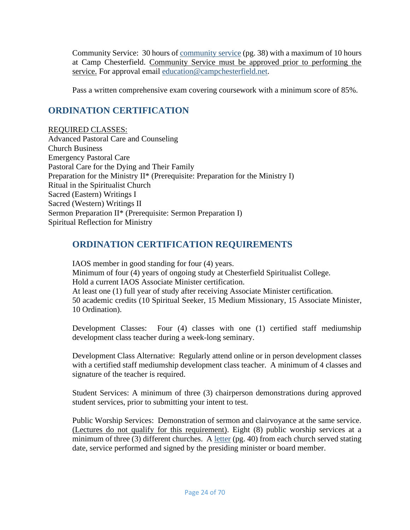Community Service: 30 hours of [community service](#page-37-1) (pg. [38\)](#page-37-1) with a maximum of 10 hours at Camp Chesterfield. Community Service must be approved prior to performing the service. For approval email [education@campchesterfield.net.](mailto:education@campchesterfield.net)

Pass a written comprehensive exam covering coursework with a minimum score of 85%.

### <span id="page-23-0"></span>**ORDINATION CERTIFICATION**

REQUIRED CLASSES: Advanced Pastoral Care and Counseling Church Business Emergency Pastoral Care Pastoral Care for the Dying and Their Family Preparation for the Ministry II\* (Prerequisite: Preparation for the Ministry I) Ritual in the Spiritualist Church Sacred (Eastern) Writings I Sacred (Western) Writings II Sermon Preparation II\* (Prerequisite: Sermon Preparation I) Spiritual Reflection for Ministry

### <span id="page-23-1"></span>**ORDINATION CERTIFICATION REQUIREMENTS**

IAOS member in good standing for four (4) years. Minimum of four (4) years of ongoing study at Chesterfield Spiritualist College. Hold a current IAOS Associate Minister certification. At least one (1) full year of study after receiving Associate Minister certification. 50 academic credits (10 Spiritual Seeker, 15 Medium Missionary, 15 Associate Minister, 10 Ordination).

Development Classes: Four (4) classes with one (1) certified staff mediumship development class teacher during a week-long seminary.

Development Class Alternative: Regularly attend online or in person development classes with a certified staff mediumship development class teacher. A minimum of 4 classes and signature of the teacher is required.

Student Services: A minimum of three (3) chairperson demonstrations during approved student services, prior to submitting your intent to test.

Public Worship Services: Demonstration of sermon and clairvoyance at the same service. (Lectures do not qualify for this requirement). Eight (8) public worship services at a minimum of three (3) different churches. A [letter](#page-39-0) (pg. [40\)](#page-39-0) from each church served stating date, service performed and signed by the presiding minister or board member.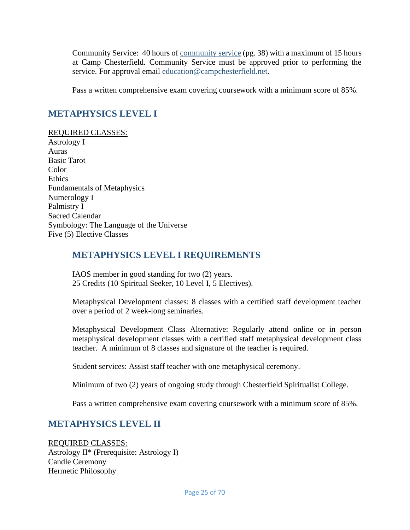Community Service: 40 hours of [community service](#page-37-1) (pg. [38\)](#page-37-1) with a maximum of 15 hours at Camp Chesterfield. Community Service must be approved prior to performing the service. For approval email [education@campchesterfield.net.](mailto:education@campchesterfield.net)

Pass a written comprehensive exam covering coursework with a minimum score of 85%.

### <span id="page-24-0"></span>**METAPHYSICS LEVEL I**

REQUIRED CLASSES: Astrology I Auras Basic Tarot Color Ethics Fundamentals of Metaphysics Numerology I Palmistry I Sacred Calendar Symbology: The Language of the Universe Five (5) Elective Classes

### <span id="page-24-1"></span>**METAPHYSICS LEVEL I REQUIREMENTS**

IAOS member in good standing for two (2) years. 25 Credits (10 Spiritual Seeker, 10 Level I, 5 Electives).

Metaphysical Development classes: 8 classes with a certified staff development teacher over a period of 2 week-long seminaries.

Metaphysical Development Class Alternative: Regularly attend online or in person metaphysical development classes with a certified staff metaphysical development class teacher. A minimum of 8 classes and signature of the teacher is required.

Student services: Assist staff teacher with one metaphysical ceremony.

Minimum of two (2) years of ongoing study through Chesterfield Spiritualist College.

Pass a written comprehensive exam covering coursework with a minimum score of 85%.

### <span id="page-24-2"></span>**METAPHYSICS LEVEL II**

REQUIRED CLASSES: Astrology II\* (Prerequisite: Astrology I) Candle Ceremony Hermetic Philosophy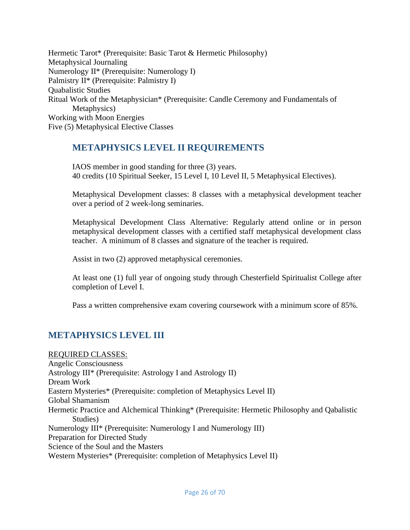Hermetic Tarot\* (Prerequisite: Basic Tarot & Hermetic Philosophy) Metaphysical Journaling Numerology II\* (Prerequisite: Numerology I) Palmistry II\* (Prerequisite: Palmistry I) Quabalistic Studies Ritual Work of the Metaphysician\* (Prerequisite: Candle Ceremony and Fundamentals of Metaphysics) Working with Moon Energies Five (5) Metaphysical Elective Classes

### <span id="page-25-0"></span>**METAPHYSICS LEVEL II REQUIREMENTS**

IAOS member in good standing for three (3) years. 40 credits (10 Spiritual Seeker, 15 Level I, 10 Level II, 5 Metaphysical Electives).

Metaphysical Development classes: 8 classes with a metaphysical development teacher over a period of 2 week-long seminaries.

Metaphysical Development Class Alternative: Regularly attend online or in person metaphysical development classes with a certified staff metaphysical development class teacher. A minimum of 8 classes and signature of the teacher is required.

Assist in two (2) approved metaphysical ceremonies.

At least one (1) full year of ongoing study through Chesterfield Spiritualist College after completion of Level I.

Pass a written comprehensive exam covering coursework with a minimum score of 85%.

### <span id="page-25-1"></span>**METAPHYSICS LEVEL III**

REQUIRED CLASSES: Angelic Consciousness Astrology III\* (Prerequisite: Astrology I and Astrology II) Dream Work Eastern Mysteries\* (Prerequisite: completion of Metaphysics Level II) Global Shamanism Hermetic Practice and Alchemical Thinking\* (Prerequisite: Hermetic Philosophy and Qabalistic Studies) Numerology III\* (Prerequisite: Numerology I and Numerology III) Preparation for Directed Study Science of the Soul and the Masters Western Mysteries\* (Prerequisite: completion of Metaphysics Level II)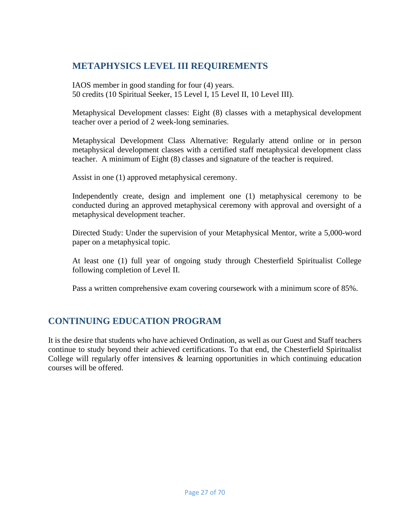### <span id="page-26-0"></span>**METAPHYSICS LEVEL III REQUIREMENTS**

IAOS member in good standing for four (4) years. 50 credits (10 Spiritual Seeker, 15 Level I, 15 Level II, 10 Level III).

Metaphysical Development classes: Eight (8) classes with a metaphysical development teacher over a period of 2 week-long seminaries.

Metaphysical Development Class Alternative: Regularly attend online or in person metaphysical development classes with a certified staff metaphysical development class teacher. A minimum of Eight (8) classes and signature of the teacher is required.

Assist in one (1) approved metaphysical ceremony.

Independently create, design and implement one (1) metaphysical ceremony to be conducted during an approved metaphysical ceremony with approval and oversight of a metaphysical development teacher.

Directed Study: Under the supervision of your Metaphysical Mentor, write a 5,000-word paper on a metaphysical topic.

At least one (1) full year of ongoing study through Chesterfield Spiritualist College following completion of Level II.

Pass a written comprehensive exam covering coursework with a minimum score of 85%.

### <span id="page-26-1"></span>**CONTINUING EDUCATION PROGRAM**

It is the desire that students who have achieved Ordination, as well as our Guest and Staff teachers continue to study beyond their achieved certifications. To that end, the Chesterfield Spiritualist College will regularly offer intensives  $\&$  learning opportunities in which continuing education courses will be offered.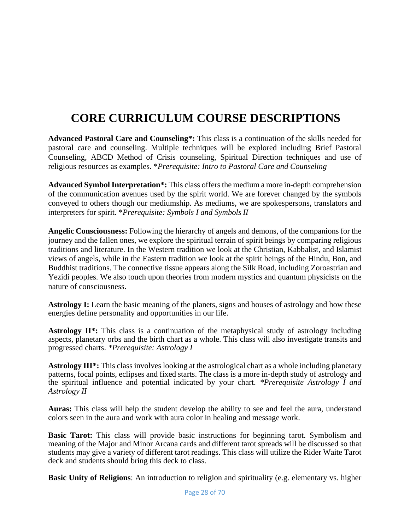# **CORE CURRICULUM COURSE DESCRIPTIONS**

<span id="page-27-0"></span>**Advanced Pastoral Care and Counseling\*:** This class is a continuation of the skills needed for pastoral care and counseling. Multiple techniques will be explored including Brief Pastoral Counseling, ABCD Method of Crisis counseling, Spiritual Direction techniques and use of religious resources as examples. \**Prerequisite: Intro to Pastoral Care and Counseling*

**Advanced Symbol Interpretation\*:** This class offers the medium a more in-depth comprehension of the communication avenues used by the spirit world. We are forever changed by the symbols conveyed to others though our mediumship. As mediums, we are spokespersons, translators and interpreters for spirit. \**Prerequisite: Symbols I and Symbols II*

**Angelic Consciousness:** Following the hierarchy of angels and demons, of the companions for the journey and the fallen ones, we explore the spiritual terrain of spirit beings by comparing religious traditions and literature. In the Western tradition we look at the Christian, Kabbalist, and Islamist views of angels, while in the Eastern tradition we look at the spirit beings of the Hindu, Bon, and Buddhist traditions. The connective tissue appears along the Silk Road, including Zoroastrian and Yezidi peoples. We also touch upon theories from modern mystics and quantum physicists on the nature of consciousness.

**Astrology I:** Learn the basic meaning of the planets, signs and houses of astrology and how these energies define personality and opportunities in our life.

**Astrology II\*:** This class is a continuation of the metaphysical study of astrology including aspects, planetary orbs and the birth chart as a whole. This class will also investigate transits and progressed charts. *\*Prerequisite: Astrology I*

**Astrology III\*:** This class involves looking at the astrological chart as a whole including planetary patterns, focal points, eclipses and fixed starts. The class is a more in-depth study of astrology and the spiritual influence and potential indicated by your chart. *\*Prerequisite Astrology I and Astrology II*

**Auras:** This class will help the student develop the ability to see and feel the aura, understand colors seen in the aura and work with aura color in healing and message work.

**Basic Tarot:** This class will provide basic instructions for beginning tarot. Symbolism and meaning of the Major and Minor Arcana cards and different tarot spreads will be discussed so that students may give a variety of different tarot readings. This class will utilize the Rider Waite Tarot deck and students should bring this deck to class.

**Basic Unity of Religions**: An introduction to religion and spirituality (e.g. elementary vs. higher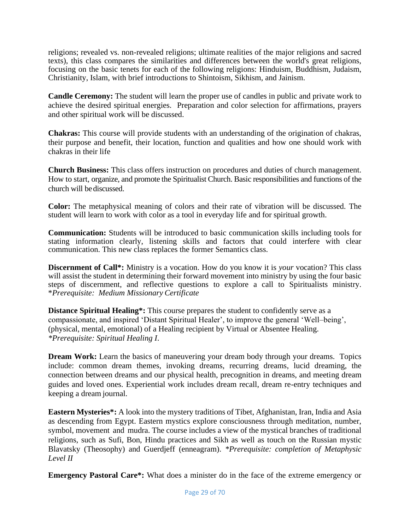religions; revealed vs. non-revealed religions; ultimate realities of the major religions and sacred texts), this class compares the similarities and differences between the world's great religions, focusing on the basic tenets for each of the following religions: Hinduism, Buddhism, Judaism, Christianity, Islam, with brief introductions to Shintoism, Sikhism, and Jainism.

**Candle Ceremony:** The student will learn the proper use of candles in public and private work to achieve the desired spiritual energies. Preparation and color selection for affirmations, prayers and other spiritual work will be discussed.

**Chakras:** This course will provide students with an understanding of the origination of chakras, their purpose and benefit, their location, function and qualities and how one should work with chakras in their life

**Church Business:** This class offers instruction on procedures and duties of church management. How to start, organize, and promote the Spiritualist Church. Basic responsibilities and functions of the church will bediscussed.

**Color:** The metaphysical meaning of colors and their rate of vibration will be discussed. The student will learn to work with color as a tool in everyday life and for spiritual growth.

**Communication:** Students will be introduced to basic communication skills including tools for stating information clearly, listening skills and factors that could interfere with clear communication. This new class replaces the former Semantics class.

**Discernment of Call\*:** Ministry is a vocation. How do you know it is *your* vocation? This class will assist the student in determining their forward movement into ministry by using the four basic steps of discernment, and reflective questions to explore a call to Spiritualists ministry. \**Prerequisite: Medium Missionary Certificate*

**Distance Spiritual Healing\*:** This course prepares the student to confidently serve as a compassionate, and inspired 'Distant Spiritual Healer', to improve the general 'Well–being', (physical, mental, emotional) of a Healing recipient by Virtual or Absentee Healing. *\*Prerequisite: Spiritual Healing I*.

**Dream Work:** Learn the basics of maneuvering your dream body through your dreams. Topics include: common dream themes, invoking dreams, recurring dreams, lucid dreaming, the connection between dreams and our physical health, precognition in dreams, and meeting dream guides and loved ones. Experiential work includes dream recall, dream re-entry techniques and keeping a dream journal.

**Eastern Mysteries\*:** A look into the mystery traditions of Tibet, Afghanistan, Iran, India and Asia as descending from Egypt. Eastern mystics explore consciousness through meditation, number, symbol, movement and mudra. The course includes a view of the mystical branches of traditional religions, such as Sufi, Bon, Hindu practices and Sikh as well as touch on the Russian mystic Blavatsky (Theosophy) and Guerdjeff (enneagram). *\*Prerequisite: completion of Metaphysic Level II*

**Emergency Pastoral Care\*:** What does a minister do in the face of the extreme emergency or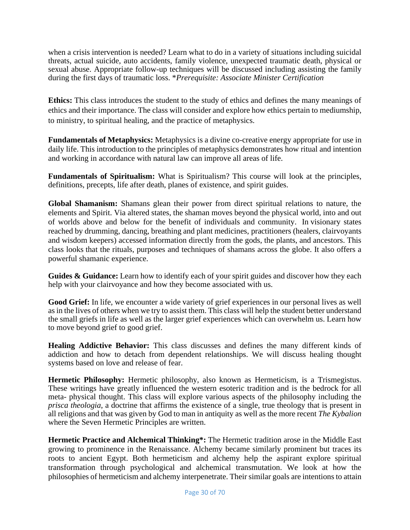when a crisis intervention is needed? Learn what to do in a variety of situations including suicidal threats, actual suicide, auto accidents, family violence, unexpected traumatic death, physical or sexual abuse. Appropriate follow-up techniques will be discussed including assisting the family during the first days of traumatic loss. \**Prerequisite: Associate Minister Certification*

**Ethics:** This class introduces the student to the study of ethics and defines the many meanings of ethics and their importance. The class will consider and explore how ethics pertain to mediumship, to ministry, to spiritual healing, and the practice of metaphysics.

**Fundamentals of Metaphysics:** Metaphysics is a divine co-creative energy appropriate for use in daily life. This introduction to the principles of metaphysics demonstrates how ritual and intention and working in accordance with natural law can improve all areas of life.

**Fundamentals of Spiritualism:** What is Spiritualism? This course will look at the principles, definitions, precepts, life after death, planes of existence, and spirit guides.

**Global Shamanism:** Shamans glean their power from direct spiritual relations to nature, the elements and Spirit. Via altered states, the shaman moves beyond the physical world, into and out of worlds above and below for the benefit of individuals and community. In visionary states reached by drumming, dancing, breathing and plant medicines, practitioners (healers, clairvoyants and wisdom keepers) accessed information directly from the gods, the plants, and ancestors. This class looks that the rituals, purposes and techniques of shamans across the globe. It also offers a powerful shamanic experience.

Guides & Guidance: Learn how to identify each of your spirit guides and discover how they each help with your clairvoyance and how they become associated with us.

**Good Grief:** In life, we encounter a wide variety of grief experiences in our personal lives as well as in the lives of others when we try to assist them. This class will help the student better understand the small griefs in life as well as the larger grief experiences which can overwhelm us. Learn how to move beyond grief to good grief.

**Healing Addictive Behavior:** This class discusses and defines the many different kinds of addiction and how to detach from dependent relationships. We will discuss healing thought systems based on love and release of fear.

**Hermetic Philosophy:** Hermetic philosophy, also known as Hermeticism, is a Trismegistus. These writings have greatly influenced the western esoteric tradition and is the bedrock for all meta- physical thought. This class will explore various aspects of the philosophy including the *prisca theologia*, a doctrine that affirms the existence of a single, true theology that is present in all religions and that was given by God to man in antiquity as well as the more recent *The Kybalion*  where the Seven Hermetic Principles are written.

**Hermetic Practice and Alchemical Thinking\*:** The Hermetic tradition arose in the Middle East growing to prominence in the Renaissance. Alchemy became similarly prominent but traces its roots to ancient Egypt. Both hermeticism and alchemy help the aspirant explore spiritual transformation through psychological and alchemical transmutation. We look at how the philosophies of hermeticism and alchemy interpenetrate. Their similar goals are intentions to attain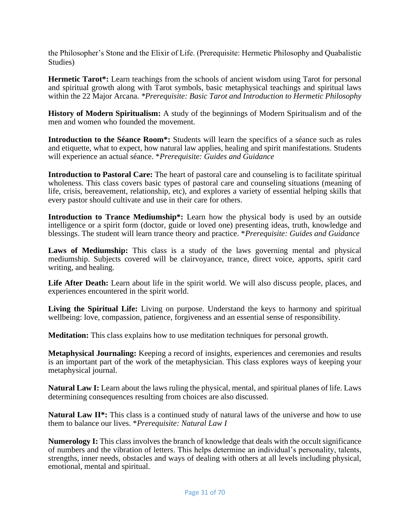the Philosopher's Stone and the Elixir of Life. (Prerequisite: Hermetic Philosophy and Quabalistic Studies)

**Hermetic Tarot\*:** Learn teachings from the schools of ancient wisdom using Tarot for personal and spiritual growth along with Tarot symbols, basic metaphysical teachings and spiritual laws within the 22 Major Arcana. *\*Prerequisite: Basic Tarot and Introduction to Hermetic Philosophy*

**History of Modern Spiritualism:** A study of the beginnings of Modern Spiritualism and of the men and women who founded the movement.

**Introduction to the Séance Room\*:** Students will learn the specifics of a séance such as rules and etiquette, what to expect, how natural law applies, healing and spirit manifestations. Students will experience an actual séance. \**Prerequisite: Guides and Guidance*

**Introduction to Pastoral Care:** The heart of pastoral care and counseling is to facilitate spiritual wholeness. This class covers basic types of pastoral care and counseling situations (meaning of life, crisis, bereavement, relationship, etc), and explores a variety of essential helping skills that every pastor should cultivate and use in their care for others.

**Introduction to Trance Mediumship\*:** Learn how the physical body is used by an outside intelligence or a spirit form (doctor, guide or loved one) presenting ideas, truth, knowledge and blessings. The student will learn trance theory and practice. \**Prerequisite: Guides and Guidance*

Laws of Mediumship: This class is a study of the laws governing mental and physical mediumship. Subjects covered will be clairvoyance, trance, direct voice, apports, spirit card writing, and healing.

Life After Death: Learn about life in the spirit world. We will also discuss people, places, and experiences encountered in the spirit world.

**Living the Spiritual Life:** Living on purpose. Understand the keys to harmony and spiritual wellbeing: love, compassion, patience, forgiveness and an essential sense of responsibility.

**Meditation:** This class explains how to use meditation techniques for personal growth.

**Metaphysical Journaling:** Keeping a record of insights, experiences and ceremonies and results is an important part of the work of the metaphysician. This class explores ways of keeping your metaphysical journal.

**Natural Law I:** Learn about the laws ruling the physical, mental, and spiritual planes of life. Laws determining consequences resulting from choices are also discussed.

**Natural Law II<sup>\*</sup>:** This class is a continued study of natural laws of the universe and how to use them to balance our lives. \**Prerequisite: Natural Law I*

**Numerology I:** This class involves the branch of knowledge that deals with the occult significance of numbers and the vibration of letters. This helps determine an individual's personality, talents, strengths, inner needs, obstacles and ways of dealing with others at all levels including physical, emotional, mental and spiritual.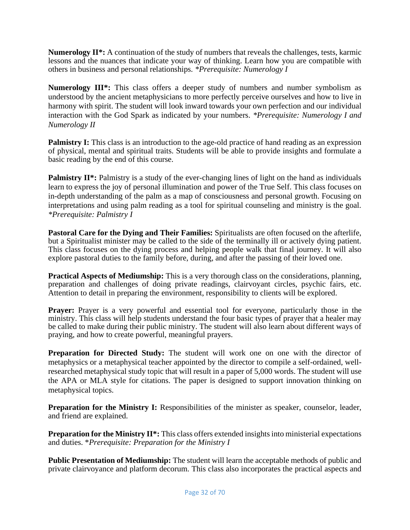**Numerology II\*:** A continuation of the study of numbers that reveals the challenges, tests, karmic lessons and the nuances that indicate your way of thinking. Learn how you are compatible with others in business and personal relationships. *\*Prerequisite: Numerology I*

**Numerology III\*:** This class offers a deeper study of numbers and number symbolism as understood by the ancient metaphysicians to more perfectly perceive ourselves and how to live in harmony with spirit. The student will look inward towards your own perfection and our individual interaction with the God Spark as indicated by your numbers. *\*Prerequisite: Numerology I and Numerology II*

**Palmistry I:** This class is an introduction to the age-old practice of hand reading as an expression of physical, mental and spiritual traits. Students will be able to provide insights and formulate a basic reading by the end of this course.

**Palmistry II\*:** Palmistry is a study of the ever-changing lines of light on the hand as individuals learn to express the joy of personal illumination and power of the True Self. This class focuses on in-depth understanding of the palm as a map of consciousness and personal growth. Focusing on interpretations and using palm reading as a tool for spiritual counseling and ministry is the goal. *\*Prerequisite: Palmistry I*

**Pastoral Care for the Dying and Their Families:** Spiritualists are often focused on the afterlife, but a Spiritualist minister may be called to the side of the terminally ill or actively dying patient. This class focuses on the dying process and helping people walk that final journey. It will also explore pastoral duties to the family before, during, and after the passing of their loved one.

**Practical Aspects of Mediumship:** This is a very thorough class on the considerations, planning, preparation and challenges of doing private readings, clairvoyant circles, psychic fairs, etc. Attention to detail in preparing the environment, responsibility to clients will be explored.

**Prayer:** Prayer is a very powerful and essential tool for everyone, particularly those in the ministry. This class will help students understand the four basic types of prayer that a healer may be called to make during their public ministry. The student will also learn about different ways of praying, and how to create powerful, meaningful prayers.

**Preparation for Directed Study:** The student will work one on one with the director of metaphysics or a metaphysical teacher appointed by the director to compile a self-ordained, wellresearched metaphysical study topic that will result in a paper of 5,000 words. The student will use the APA or MLA style for citations. The paper is designed to support innovation thinking on metaphysical topics.

**Preparation for the Ministry I:** Responsibilities of the minister as speaker, counselor, leader, and friend are explained.

**Preparation for the Ministry II\*:** This class offers extended insights into ministerial expectations and duties. \**Prerequisite: Preparation for the Ministry I*

**Public Presentation of Mediumship:** The student will learn the acceptable methods of public and private clairvoyance and platform decorum. This class also incorporates the practical aspects and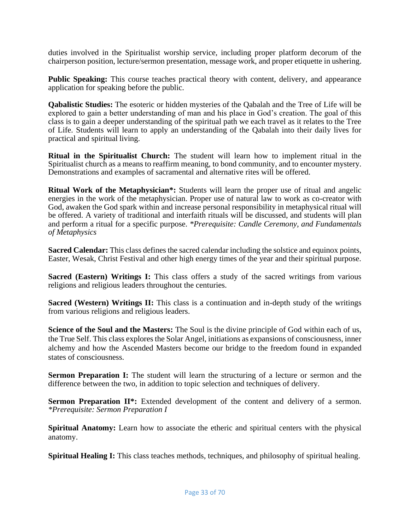duties involved in the Spiritualist worship service, including proper platform decorum of the chairperson position, lecture/sermon presentation, message work, and proper etiquette in ushering.

**Public Speaking:** This course teaches practical theory with content, delivery, and appearance application for speaking before the public.

**Qabalistic Studies:** The esoteric or hidden mysteries of the Qabalah and the Tree of Life will be explored to gain a better understanding of man and his place in God's creation. The goal of this class is to gain a deeper understanding of the spiritual path we each travel as it relates to the Tree of Life. Students will learn to apply an understanding of the Qabalah into their daily lives for practical and spiritual living.

**Ritual in the Spiritualist Church:** The student will learn how to implement ritual in the Spiritualist church as a means to reaffirm meaning, to bond community, and to encounter mystery. Demonstrations and examples of sacramental and alternative rites will be offered.

**Ritual Work of the Metaphysician\*:** Students will learn the proper use of ritual and angelic energies in the work of the metaphysician. Proper use of natural law to work as co-creator with God, awaken the God spark within and increase personal responsibility in metaphysical ritual will be offered. A variety of traditional and interfaith rituals will be discussed, and students will plan and perform a ritual for a specific purpose. *\*Prerequisite: Candle Ceremony, and Fundamentals of Metaphysics*

**Sacred Calendar:** This class defines the sacred calendar including the solstice and equinox points, Easter, Wesak, Christ Festival and other high energy times of the year and their spiritual purpose.

**Sacred (Eastern) Writings I:** This class offers a study of the sacred writings from various religions and religious leaders throughout the centuries.

**Sacred (Western) Writings II:** This class is a continuation and in-depth study of the writings from various religions and religious leaders.

**Science of the Soul and the Masters:** The Soul is the divine principle of God within each of us, the True Self. This class explores the Solar Angel, initiations as expansions of consciousness, inner alchemy and how the Ascended Masters become our bridge to the freedom found in expanded states of consciousness.

**Sermon Preparation I:** The student will learn the structuring of a lecture or sermon and the difference between the two, in addition to topic selection and techniques of delivery.

**Sermon Preparation II\*:** Extended development of the content and delivery of a sermon. *\*Prerequisite: Sermon Preparation I*

**Spiritual Anatomy:** Learn how to associate the etheric and spiritual centers with the physical anatomy.

**Spiritual Healing I:** This class teaches methods, techniques, and philosophy of spiritual healing.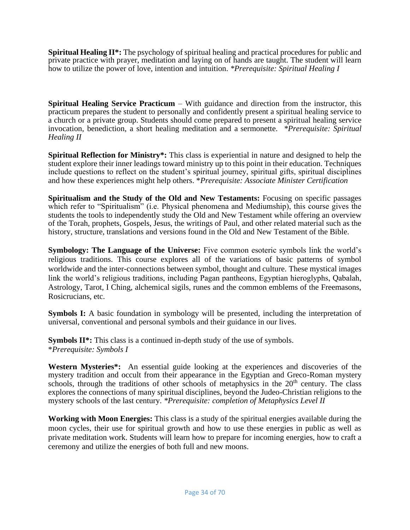**Spiritual Healing II\*:** The psychology of spiritual healing and practical procedures for public and private practice with prayer, meditation and laying on of hands are taught. The student will learn how to utilize the power of love, intention and intuition. *\*Prerequisite: Spiritual Healing I*

**Spiritual Healing Service Practicum – With guidance and direction from the instructor, this** practicum prepares the student to personally and confidently present a spiritual healing service to a church or a private group. Students should come prepared to present a spiritual healing service invocation, benediction, a short healing meditation and a sermonette. *\*Prerequisite: Spiritual Healing II*

**Spiritual Reflection for Ministry\*:** This class is experiential in nature and designed to help the student explore their inner leadings toward ministry up to this point in their education. Techniques include questions to reflect on the student's spiritual journey, spiritual gifts, spiritual disciplines and how these experiences might help others. \**Prerequisite: Associate Minister Certification*

**Spiritualism and the Study of the Old and New Testaments:** Focusing on specific passages which refer to "Spiritualism" (i.e. Physical phenomena and Mediumship), this course gives the students the tools to independently study the Old and New Testament while offering an overview of the Torah, prophets, Gospels, Jesus, the writings of Paul, and other related material such as the history, structure, translations and versions found in the Old and New Testament of the Bible.

**Symbology: The Language of the Universe:** Five common esoteric symbols link the world's religious traditions. This course explores all of the variations of basic patterns of symbol worldwide and the inter-connections between symbol, thought and culture. These mystical images link the world's religious traditions, including Pagan pantheons, Egyptian hieroglyphs, Qabalah, Astrology, Tarot, I Ching, alchemical sigils, runes and the common emblems of the Freemasons, Rosicrucians, etc.

**Symbols I:** A basic foundation in symbology will be presented, including the interpretation of universal, conventional and personal symbols and their guidance in our lives.

**Symbols II<sup>\*</sup>:** This class is a continued in-depth study of the use of symbols. \**Prerequisite: Symbols I*

**Western Mysteries\*:** An essential guide looking at the experiences and discoveries of the mystery tradition and occult from their appearance in the Egyptian and Greco-Roman mystery schools, through the traditions of other schools of metaphysics in the  $20<sup>th</sup>$  century. The class explores the connections of many spiritual disciplines, beyond the Judeo-Christian religions to the mystery schools of the last century. *\*Prerequisite: completion of Metaphysics Level II*

**Working with Moon Energies:** This class is a study of the spiritual energies available during the moon cycles, their use for spiritual growth and how to use these energies in public as well as private meditation work. Students will learn how to prepare for incoming energies, how to craft a ceremony and utilize the energies of both full and new moons.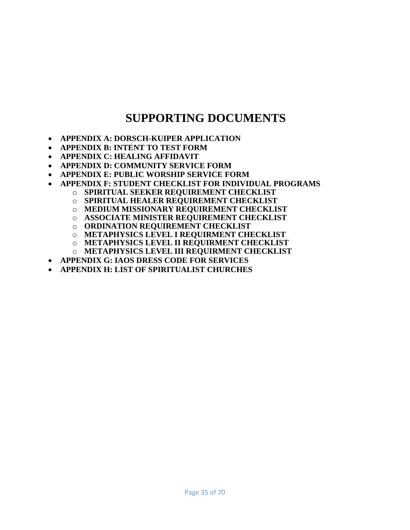# **SUPPORTING DOCUMENTS**

- <span id="page-34-0"></span>• **APPENDIX A: DORSCH-KUIPER APPLICATION**
- **APPENDIX B: INTENT TO TEST FORM**
- **APPENDIX C: HEALING AFFIDAVIT**
- **APPENDIX D: COMMUNITY SERVICE FORM**
- **APPENDIX E: PUBLIC WORSHIP SERVICE FORM**
- **APPENDIX F: STUDENT CHECKLIST FOR INDIVIDUAL PROGRAMS**
	- o **SPIRITUAL SEEKER REQUIREMENT CHECKLIST**
		- o **SPIRITUAL HEALER REQUIREMENT CHECKLIST**
		- o **MEDIUM MISSIONARY REQUIREMENT CHECKLIST**
		- o **ASSOCIATE MINISTER REQUIREMENT CHECKLIST**
		- o **ORDINATION REQUIREMENT CHECKLIST**
		- o **METAPHYSICS LEVEL I REQUIRMENT CHECKLIST**
		- o **METAPHYSICS LEVEL II REQUIRMENT CHECKLIST**
	- o **METAPHYSICS LEVEL III REQUIRMENT CHECKLIST**
- **APPENDIX G: IAOS DRESS CODE FOR SERVICES**
- **APPENDIX H: LIST OF SPIRITUALIST CHURCHES**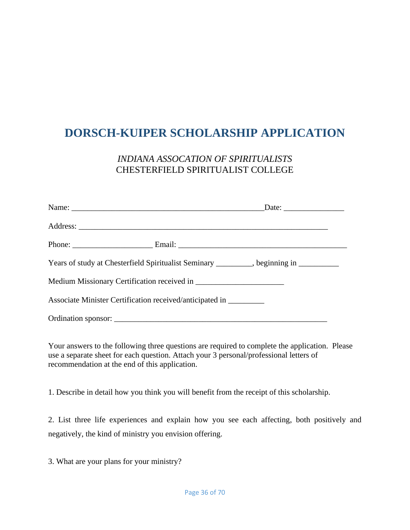# <span id="page-35-0"></span>**DORSCH-KUIPER SCHOLARSHIP APPLICATION**

### *INDIANA ASSOCATION OF SPIRITUALISTS* CHESTERFIELD SPIRITUALIST COLLEGE

|                                                                    | Phone: Email: Email:                                                                |
|--------------------------------------------------------------------|-------------------------------------------------------------------------------------|
|                                                                    | Years of study at Chesterfield Spiritualist Seminary _______, beginning in ________ |
|                                                                    |                                                                                     |
| Associate Minister Certification received/anticipated in _________ |                                                                                     |
|                                                                    |                                                                                     |

Your answers to the following three questions are required to complete the application. Please use a separate sheet for each question. Attach your 3 personal/professional letters of recommendation at the end of this application.

1. Describe in detail how you think you will benefit from the receipt of this scholarship.

2. List three life experiences and explain how you see each affecting, both positively and negatively, the kind of ministry you envision offering.

3. What are your plans for your ministry?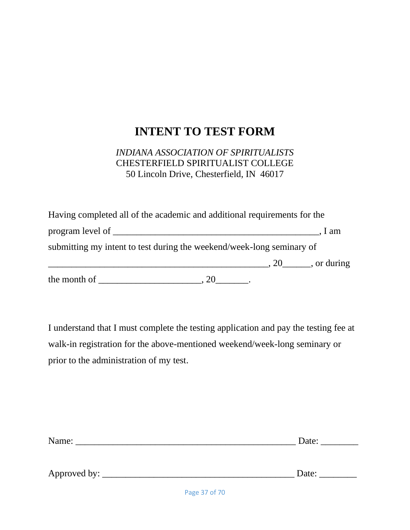# **INTENT TO TEST FORM**

### <span id="page-36-0"></span>*INDIANA ASSOCIATION OF SPIRITUALISTS* CHESTERFIELD SPIRITUALIST COLLEGE 50 Lincoln Drive, Chesterfield, IN 46017

| the month of                                                             |                                                |      |
|--------------------------------------------------------------------------|------------------------------------------------|------|
|                                                                          | $\frac{1}{20}$ , 20 $\frac{1}{20}$ , or during |      |
| submitting my intent to test during the weekend/week-long seminary of    |                                                |      |
| program level of                                                         |                                                | 1 am |
| Having completed all of the academic and additional requirements for the |                                                |      |

I understand that I must complete the testing application and pay the testing fee at walk-in registration for the above-mentioned weekend/week-long seminary or prior to the administration of my test.

| Name:        | Date: |
|--------------|-------|
|              |       |
|              |       |
| Approved by: | Date: |
|              |       |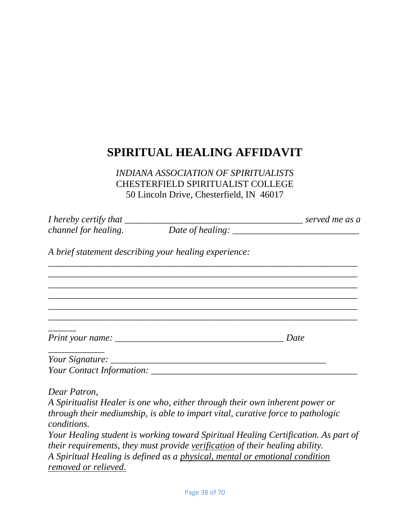# <span id="page-37-0"></span>**SPIRITUAL HEALING AFFIDAVIT**

*INDIANA ASSOCIATION OF SPIRITUALISTS* CHESTERFIELD SPIRITUALIST COLLEGE 50 Lincoln Drive, Chesterfield, IN 46017

<span id="page-37-1"></span>

| <i>channel for healing.</i> | Date of healing: $\frac{1}{2}$ matrices and the same of healing:                                                                                                   |      |
|-----------------------------|--------------------------------------------------------------------------------------------------------------------------------------------------------------------|------|
|                             | A brief statement describing your healing experience:                                                                                                              |      |
|                             |                                                                                                                                                                    |      |
|                             |                                                                                                                                                                    |      |
|                             |                                                                                                                                                                    | Date |
|                             |                                                                                                                                                                    |      |
|                             |                                                                                                                                                                    |      |
| Dear Patron,<br>conditions. | A Spiritualist Healer is one who, either through their own inherent power or<br>through their mediumship, is able to impart vital, curative force to pathologic    |      |
|                             | Your Healing student is working toward Spiritual Healing Certification. As part of<br>their requirements, they must provide verification of their healing ability. |      |

*A Spiritual Healing is defined as a physical, mental or emotional condition removed or relieved.*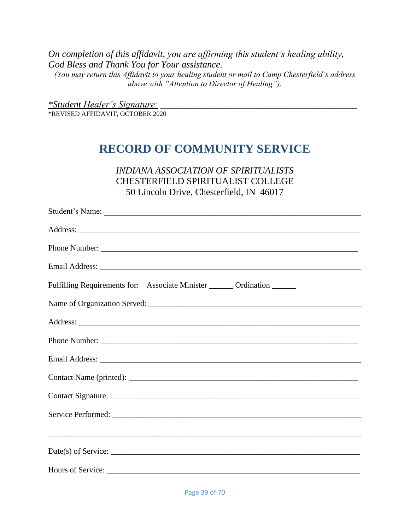*On completion of this affidavit, you are affirming this student's healing ability, God Bless and Thank You for Your assistance. (You may return this Affidavit to your healing student or mail to Camp Chesterfield's address above with "Attention to Director of Healing").*

<span id="page-38-0"></span>*\*Student Healer's Signature: \_\_\_\_\_\_\_\_\_\_\_\_\_\_\_\_\_\_\_\_\_\_\_\_\_\_\_\_\_\_\_\_\_\_\_\_\_\_\_\_\_\_* \*REVISED AFFIDAVIT, OCTOBER 2020

# **RECORD OF COMMUNITY SERVICE**

*INDIANA ASSOCIATION OF SPIRITUALISTS* CHESTERFIELD SPIRITUALIST COLLEGE 50 Lincoln Drive, Chesterfield, IN 46017

| Phone Number:                                                           |
|-------------------------------------------------------------------------|
|                                                                         |
| Fulfilling Requirements for: Associate Minister ______ Ordination _____ |
|                                                                         |
|                                                                         |
|                                                                         |
|                                                                         |
|                                                                         |
|                                                                         |
|                                                                         |
|                                                                         |
|                                                                         |
|                                                                         |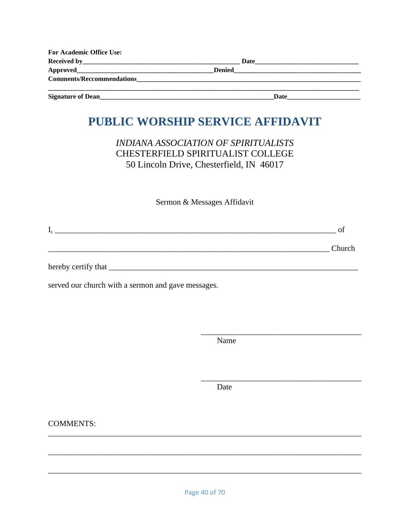| <b>For Academic Office Use:</b>                                                                                                                                                                                                |               |  |
|--------------------------------------------------------------------------------------------------------------------------------------------------------------------------------------------------------------------------------|---------------|--|
|                                                                                                                                                                                                                                | Date          |  |
|                                                                                                                                                                                                                                | <b>Denied</b> |  |
| Comments/Reccommendations expansion of the contract of the contract of the contract of the contract of the contract of the contract of the contract of the contract of the contract of the contract of the contract of the con |               |  |
| <b>Signature of Dean</b>                                                                                                                                                                                                       | Date          |  |

# <span id="page-39-0"></span>PUBLIC WORSHIP SERVICE AFFIDAVIT

**INDIANA ASSOCIATION OF SPIRITUALISTS CHESTERFIELD SPIRITUALIST COLLEGE** 50 Lincoln Drive, Chesterfield, IN 46017

Sermon & Messages Affidavit

**Example 2018** Church

served our church with a sermon and gave messages.

Name

Date

**COMMENTS:**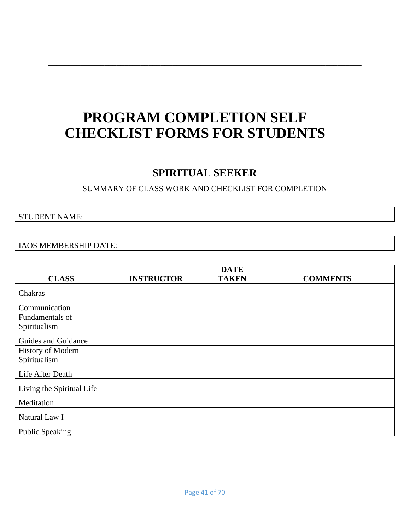# <span id="page-40-0"></span>**PROGRAM COMPLETION SELF CHECKLIST FORMS FOR STUDENTS**

\_\_\_\_\_\_\_\_\_\_\_\_\_\_\_\_\_\_\_\_\_\_\_\_\_\_\_\_\_\_\_\_\_\_\_\_\_\_\_\_\_\_\_\_\_\_\_\_\_\_\_\_\_\_\_\_\_\_\_\_\_\_\_\_\_\_\_\_\_\_\_\_\_\_\_\_\_\_

## **SPIRITUAL SEEKER**

#### SUMMARY OF CLASS WORK AND CHECKLIST FOR COMPLETION

#### <span id="page-40-1"></span>STUDENT NAME:

#### IAOS MEMBERSHIP DATE:

| <b>CLASS</b>              | <b>INSTRUCTOR</b> | <b>DATE</b><br><b>TAKEN</b> | <b>COMMENTS</b> |
|---------------------------|-------------------|-----------------------------|-----------------|
| Chakras                   |                   |                             |                 |
|                           |                   |                             |                 |
| Communication             |                   |                             |                 |
| Fundamentals of           |                   |                             |                 |
| Spiritualism              |                   |                             |                 |
| Guides and Guidance       |                   |                             |                 |
| <b>History of Modern</b>  |                   |                             |                 |
| Spiritualism              |                   |                             |                 |
|                           |                   |                             |                 |
| Life After Death          |                   |                             |                 |
| Living the Spiritual Life |                   |                             |                 |
| Meditation                |                   |                             |                 |
| Natural Law I             |                   |                             |                 |
| <b>Public Speaking</b>    |                   |                             |                 |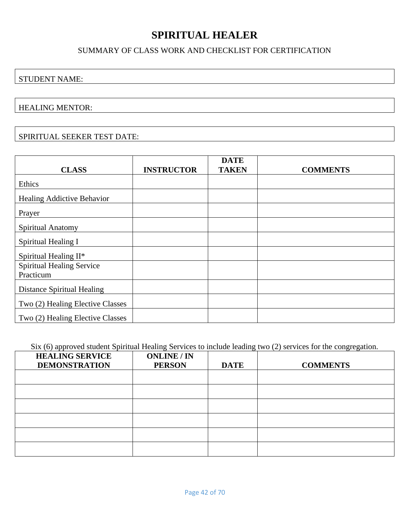# **SPIRITUAL HEALER**

#### SUMMARY OF CLASS WORK AND CHECKLIST FOR CERTIFICATION

### <span id="page-41-0"></span>STUDENT NAME:

#### HEALING MENTOR:

#### SPIRITUAL SEEKER TEST DATE:

|                                   |                   | <b>DATE</b>  |                 |
|-----------------------------------|-------------------|--------------|-----------------|
| <b>CLASS</b>                      | <b>INSTRUCTOR</b> | <b>TAKEN</b> | <b>COMMENTS</b> |
| Ethics                            |                   |              |                 |
| Healing Addictive Behavior        |                   |              |                 |
| Prayer                            |                   |              |                 |
| Spiritual Anatomy                 |                   |              |                 |
| Spiritual Healing I               |                   |              |                 |
| Spiritual Healing II*             |                   |              |                 |
| <b>Spiritual Healing Service</b>  |                   |              |                 |
| Practicum                         |                   |              |                 |
| <b>Distance Spiritual Healing</b> |                   |              |                 |
| Two (2) Healing Elective Classes  |                   |              |                 |
| Two (2) Healing Elective Classes  |                   |              |                 |

Six (6) approved student Spiritual Healing Services to include leading two (2) services for the congregation.

| <b>HEALING SERVICE</b><br><b>DEMONSTRATION</b> | <b>ONLINE / IN</b><br><b>PERSON</b> | <b>DATE</b> | <b>COMMENTS</b> |
|------------------------------------------------|-------------------------------------|-------------|-----------------|
|                                                |                                     |             |                 |
|                                                |                                     |             |                 |
|                                                |                                     |             |                 |
|                                                |                                     |             |                 |
|                                                |                                     |             |                 |
|                                                |                                     |             |                 |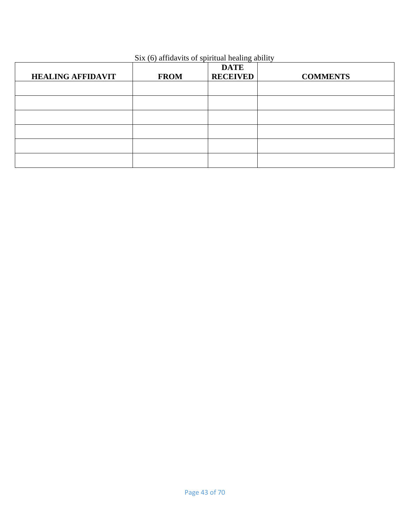|                          |             | <b>DATE</b>     |                 |
|--------------------------|-------------|-----------------|-----------------|
| <b>HEALING AFFIDAVIT</b> | <b>FROM</b> | <b>RECEIVED</b> | <b>COMMENTS</b> |
|                          |             |                 |                 |
|                          |             |                 |                 |
|                          |             |                 |                 |
|                          |             |                 |                 |
|                          |             |                 |                 |
|                          |             |                 |                 |

#### Six (6) affidavits of spiritual healing ability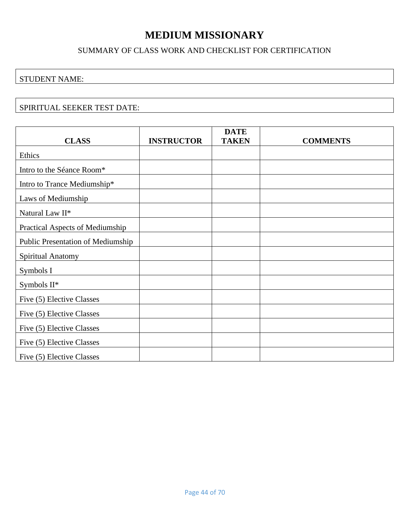# **MEDIUM MISSIONARY**

#### SUMMARY OF CLASS WORK AND CHECKLIST FOR CERTIFICATION

#### <span id="page-43-0"></span>STUDENT NAME:

#### SPIRITUAL SEEKER TEST DATE:

|                                   |                   | <b>DATE</b>  |                 |
|-----------------------------------|-------------------|--------------|-----------------|
| <b>CLASS</b>                      | <b>INSTRUCTOR</b> | <b>TAKEN</b> | <b>COMMENTS</b> |
| Ethics                            |                   |              |                 |
| Intro to the Séance Room*         |                   |              |                 |
| Intro to Trance Mediumship*       |                   |              |                 |
| Laws of Mediumship                |                   |              |                 |
| Natural Law II*                   |                   |              |                 |
| Practical Aspects of Mediumship   |                   |              |                 |
| Public Presentation of Mediumship |                   |              |                 |
| Spiritual Anatomy                 |                   |              |                 |
| Symbols I                         |                   |              |                 |
| Symbols II*                       |                   |              |                 |
| Five (5) Elective Classes         |                   |              |                 |
| Five (5) Elective Classes         |                   |              |                 |
| Five (5) Elective Classes         |                   |              |                 |
| Five (5) Elective Classes         |                   |              |                 |
| Five (5) Elective Classes         |                   |              |                 |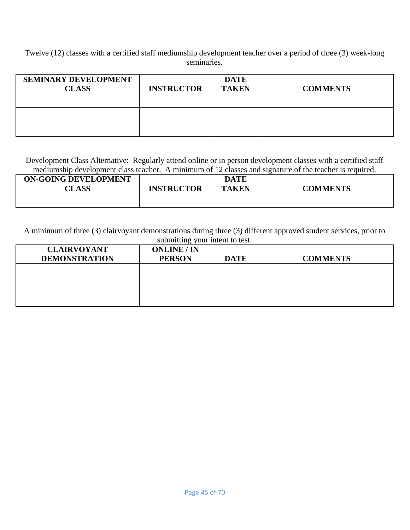Twelve (12) classes with a certified staff mediumship development teacher over a period of three (3) week-long seminaries.

| <b>SEMINARY DEVELOPMENT</b><br><b>CLASS</b> | <b>INSTRUCTOR</b> | <b>DATE</b><br><b>TAKEN</b> | <b>COMMENTS</b> |
|---------------------------------------------|-------------------|-----------------------------|-----------------|
|                                             |                   |                             |                 |
|                                             |                   |                             |                 |
|                                             |                   |                             |                 |

Development Class Alternative: Regularly attend online or in person development classes with a certified staff mediumship development class teacher. A minimum of 12 classes and signature of the teacher is required.

| <b>ON-GOING DEVELOPMENT</b><br><b>CLASS</b> | <b>INSTRUCTOR</b> | <b>DATE</b><br><b>TAKEN</b> | <b>COMMENTS</b> |  |
|---------------------------------------------|-------------------|-----------------------------|-----------------|--|
|                                             |                   |                             |                 |  |

A minimum of three (3) clairvoyant demonstrations during three (3) different approved student services, prior to submitting your intent to test.

| <b>CLAIRVOYANT</b><br><b>DEMONSTRATION</b> | <b>ONLINE / IN</b><br><b>PERSON</b> | <b>DATE</b> | <b>COMMENTS</b> |
|--------------------------------------------|-------------------------------------|-------------|-----------------|
|                                            |                                     |             |                 |
|                                            |                                     |             |                 |
|                                            |                                     |             |                 |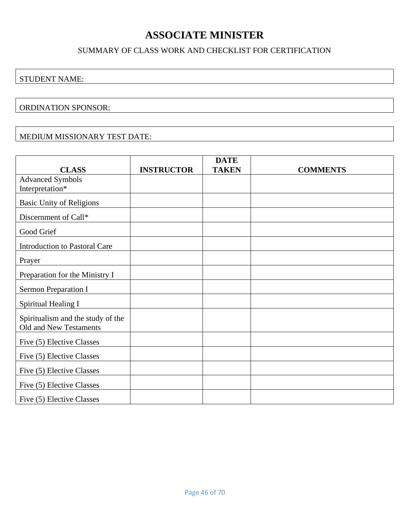# **ASSOCIATE MINISTER**

#### SUMMARY OF CLASS WORK AND CHECKLIST FOR CERTIFICATION

#### <span id="page-45-0"></span>STUDENT NAME:

#### ORDINATION SPONSOR:

#### MEDIUM MISSIONARY TEST DATE:

|                                      |                   | <b>DATE</b>  |                 |
|--------------------------------------|-------------------|--------------|-----------------|
| <b>CLASS</b>                         | <b>INSTRUCTOR</b> | <b>TAKEN</b> | <b>COMMENTS</b> |
| <b>Advanced Symbols</b>              |                   |              |                 |
| Interpretation*                      |                   |              |                 |
| <b>Basic Unity of Religions</b>      |                   |              |                 |
| Discernment of Call*                 |                   |              |                 |
| Good Grief                           |                   |              |                 |
| <b>Introduction to Pastoral Care</b> |                   |              |                 |
| Prayer                               |                   |              |                 |
| Preparation for the Ministry I       |                   |              |                 |
| Sermon Preparation I                 |                   |              |                 |
| Spiritual Healing I                  |                   |              |                 |
| Spiritualism and the study of the    |                   |              |                 |
| Old and New Testaments               |                   |              |                 |
| Five (5) Elective Classes            |                   |              |                 |
| Five (5) Elective Classes            |                   |              |                 |
| Five (5) Elective Classes            |                   |              |                 |
| Five (5) Elective Classes            |                   |              |                 |
| Five (5) Elective Classes            |                   |              |                 |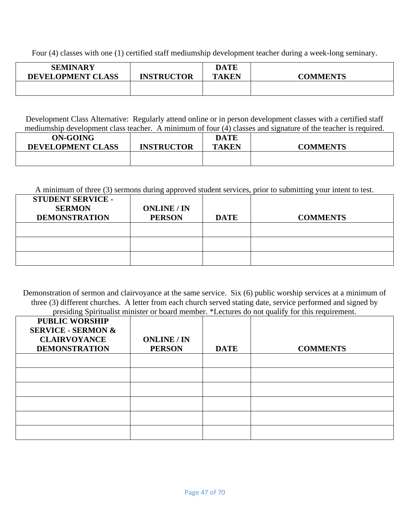Four (4) classes with one (1) certified staff mediumship development teacher during a week-long seminary.

| <b>SEMINARY</b><br>DEVELOPMENT CLASS | <b>INSTRUCTOR</b> | <b>DATE</b><br><b>TAKEN</b> | <b>COMMENTS</b> |
|--------------------------------------|-------------------|-----------------------------|-----------------|
|                                      |                   |                             |                 |

Development Class Alternative: Regularly attend online or in person development classes with a certified staff mediumship development class teacher. A minimum of four (4) classes and signature of the teacher is required.

| <b>ON-GOING</b><br><b>DEVELOPMENT CLASS</b> | <b>INSTRUCTOR</b> | <b>DATE</b><br>TAKEN | <b>COMMENTS</b> |
|---------------------------------------------|-------------------|----------------------|-----------------|
|                                             |                   |                      |                 |

A minimum of three (3) sermons during approved student services, prior to submitting your intent to test.

| <b>STUDENT SERVICE -</b><br><b>SERMON</b><br><b>DEMONSTRATION</b> | <b>ONLINE</b> / IN<br><b>PERSON</b> | <b>DATE</b> | <b>COMMENTS</b> |
|-------------------------------------------------------------------|-------------------------------------|-------------|-----------------|
|                                                                   |                                     |             |                 |
|                                                                   |                                     |             |                 |
|                                                                   |                                     |             |                 |

Demonstration of sermon and clairvoyance at the same service. Six (6) public worship services at a minimum of three (3) different churches. A letter from each church served stating date, service performed and signed by presiding Spiritualist minister or board member. \*Lectures do not qualify for this requirement.

| <b>PUBLIC WORSHIP</b><br><b>SERVICE - SERMON &amp;</b><br><b>CLAIRVOYANCE</b><br><b>DEMONSTRATION</b> | <b>ONLINE / IN</b><br><b>PERSON</b> | <b>DATE</b> | <b>COMMENTS</b> |
|-------------------------------------------------------------------------------------------------------|-------------------------------------|-------------|-----------------|
|                                                                                                       |                                     |             |                 |
|                                                                                                       |                                     |             |                 |
|                                                                                                       |                                     |             |                 |
|                                                                                                       |                                     |             |                 |
|                                                                                                       |                                     |             |                 |
|                                                                                                       |                                     |             |                 |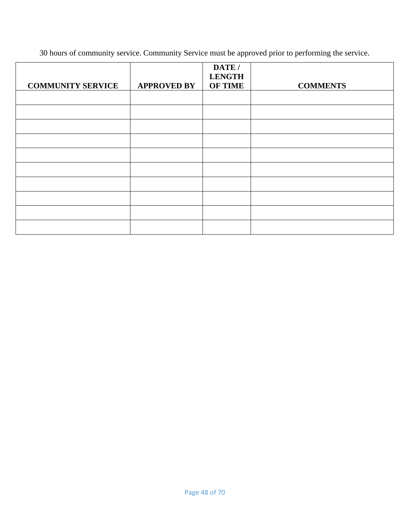30 hours of community service. Community Service must be approved prior to performing the service.

|                          |                    | DATE /<br><b>LENGTH</b> |                 |
|--------------------------|--------------------|-------------------------|-----------------|
| <b>COMMUNITY SERVICE</b> | <b>APPROVED BY</b> | <b>OF TIME</b>          | <b>COMMENTS</b> |
|                          |                    |                         |                 |
|                          |                    |                         |                 |
|                          |                    |                         |                 |
|                          |                    |                         |                 |
|                          |                    |                         |                 |
|                          |                    |                         |                 |
|                          |                    |                         |                 |
|                          |                    |                         |                 |
|                          |                    |                         |                 |
|                          |                    |                         |                 |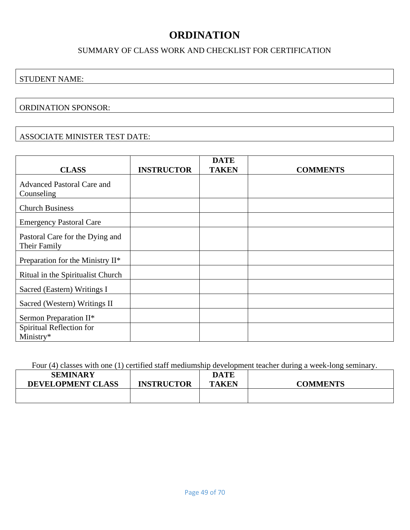# **ORDINATION**

#### SUMMARY OF CLASS WORK AND CHECKLIST FOR CERTIFICATION

#### <span id="page-48-0"></span>STUDENT NAME:

#### ORDINATION SPONSOR:

#### ASSOCIATE MINISTER TEST DATE:

| <b>CLASS</b>                                    | <b>INSTRUCTOR</b> | <b>DATE</b><br><b>TAKEN</b> | <b>COMMENTS</b> |
|-------------------------------------------------|-------------------|-----------------------------|-----------------|
| <b>Advanced Pastoral Care and</b><br>Counseling |                   |                             |                 |
| <b>Church Business</b>                          |                   |                             |                 |
| <b>Emergency Pastoral Care</b>                  |                   |                             |                 |
| Pastoral Care for the Dying and<br>Their Family |                   |                             |                 |
| Preparation for the Ministry II*                |                   |                             |                 |
| Ritual in the Spiritualist Church               |                   |                             |                 |
| Sacred (Eastern) Writings I                     |                   |                             |                 |
| Sacred (Western) Writings II                    |                   |                             |                 |
| Sermon Preparation II*                          |                   |                             |                 |
| Spiritual Reflection for<br>Ministry*           |                   |                             |                 |

Four (4) classes with one (1) certified staff mediumship development teacher during a week-long seminary.

| <b>SEMINARY</b>          |                   | <b>DATE</b> |                 |
|--------------------------|-------------------|-------------|-----------------|
| <b>DEVELOPMENT CLASS</b> | <b>INSTRUCTOR</b> | TAKEN       | <b>COMMENTS</b> |
|                          |                   |             |                 |
|                          |                   |             |                 |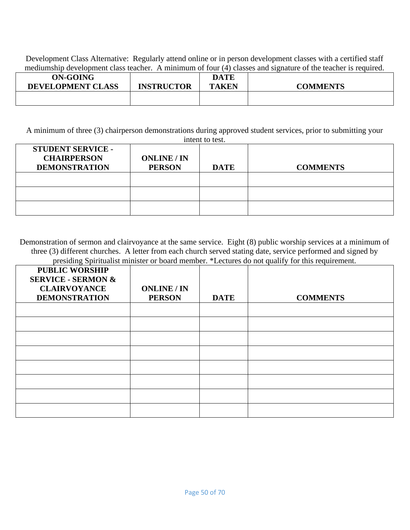Development Class Alternative: Regularly attend online or in person development classes with a certified staff mediumship development class teacher. A minimum of four (4) classes and signature of the teacher is required.

| <b>ON-GOING</b>          |                   | <b>DATE</b>  |                 |
|--------------------------|-------------------|--------------|-----------------|
| <b>DEVELOPMENT CLASS</b> | <b>INSTRUCTOR</b> | <b>TAKEN</b> | <b>COMMENTS</b> |
|                          |                   |              |                 |
|                          |                   |              |                 |

A minimum of three (3) chairperson demonstrations during approved student services, prior to submitting your intent to test.

| <b>STUDENT SERVICE -</b><br><b>CHAIRPERSON</b><br><b>DEMONSTRATION</b> | <b>ONLINE</b> / IN<br><b>PERSON</b> | <b>DATE</b> | <b>COMMENTS</b> |
|------------------------------------------------------------------------|-------------------------------------|-------------|-----------------|
|                                                                        |                                     |             |                 |
|                                                                        |                                     |             |                 |
|                                                                        |                                     |             |                 |

Demonstration of sermon and clairvoyance at the same service. Eight (8) public worship services at a minimum of three (3) different churches. A letter from each church served stating date, service performed and signed by presiding Spiritualist minister or board member. \*Lectures do not qualify for this requirement.

| <b>PUBLIC WORSHIP</b><br><b>SERVICE - SERMON &amp;</b><br><b>CLAIRVOYANCE</b><br><b>DEMONSTRATION</b> | <b>ONLINE / IN</b><br><b>PERSON</b> | <b>DATE</b> | <b>COMMENTS</b> |
|-------------------------------------------------------------------------------------------------------|-------------------------------------|-------------|-----------------|
|                                                                                                       |                                     |             |                 |
|                                                                                                       |                                     |             |                 |
|                                                                                                       |                                     |             |                 |
|                                                                                                       |                                     |             |                 |
|                                                                                                       |                                     |             |                 |
|                                                                                                       |                                     |             |                 |
|                                                                                                       |                                     |             |                 |
|                                                                                                       |                                     |             |                 |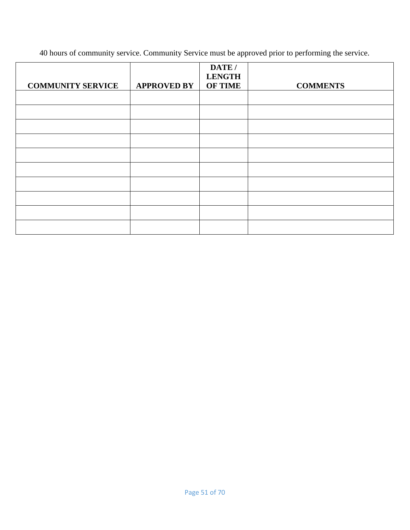40 hours of community service. Community Service must be approved prior to performing the service.

|                          |                    | DATE /<br><b>LENGTH</b> |                 |
|--------------------------|--------------------|-------------------------|-----------------|
| <b>COMMUNITY SERVICE</b> | <b>APPROVED BY</b> | <b>OF TIME</b>          | <b>COMMENTS</b> |
|                          |                    |                         |                 |
|                          |                    |                         |                 |
|                          |                    |                         |                 |
|                          |                    |                         |                 |
|                          |                    |                         |                 |
|                          |                    |                         |                 |
|                          |                    |                         |                 |
|                          |                    |                         |                 |
|                          |                    |                         |                 |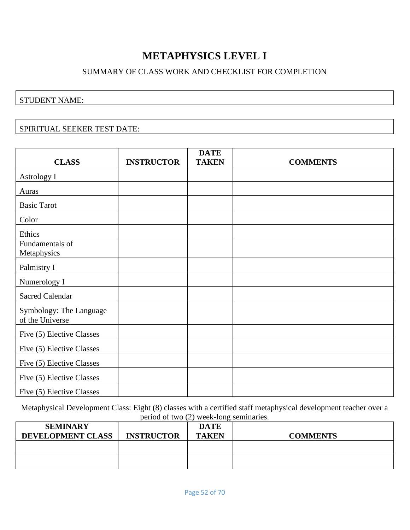# **METAPHYSICS LEVEL I**

#### SUMMARY OF CLASS WORK AND CHECKLIST FOR COMPLETION

#### <span id="page-51-0"></span>STUDENT NAME:

#### SPIRITUAL SEEKER TEST DATE:

| <b>CLASS</b>              |                   | <b>DATE</b>  |                 |
|---------------------------|-------------------|--------------|-----------------|
|                           | <b>INSTRUCTOR</b> | <b>TAKEN</b> | <b>COMMENTS</b> |
| Astrology I               |                   |              |                 |
| Auras                     |                   |              |                 |
| <b>Basic Tarot</b>        |                   |              |                 |
| Color                     |                   |              |                 |
| Ethics                    |                   |              |                 |
| Fundamentals of           |                   |              |                 |
| Metaphysics               |                   |              |                 |
| Palmistry I               |                   |              |                 |
| Numerology I              |                   |              |                 |
| <b>Sacred Calendar</b>    |                   |              |                 |
| Symbology: The Language   |                   |              |                 |
| of the Universe           |                   |              |                 |
| Five (5) Elective Classes |                   |              |                 |
| Five (5) Elective Classes |                   |              |                 |
| Five (5) Elective Classes |                   |              |                 |
| Five (5) Elective Classes |                   |              |                 |
| Five (5) Elective Classes |                   |              |                 |

Metaphysical Development Class: Eight (8) classes with a certified staff metaphysical development teacher over a period of two (2) week-long seminaries.

| <b>SEMINARY</b><br><b>DEVELOPMENT CLASS</b> | <b>INSTRUCTOR</b> | <b>DATE</b><br><b>TAKEN</b> | <b>COMMENTS</b> |
|---------------------------------------------|-------------------|-----------------------------|-----------------|
|                                             |                   |                             |                 |
|                                             |                   |                             |                 |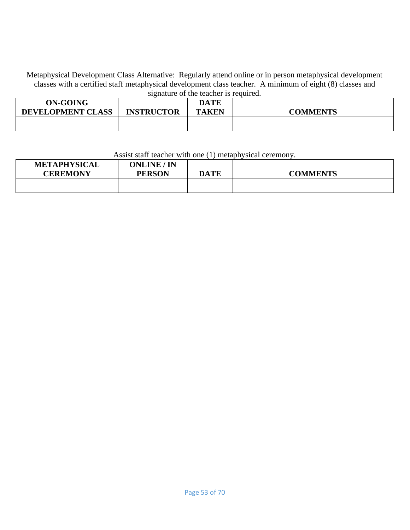Metaphysical Development Class Alternative: Regularly attend online or in person metaphysical development classes with a certified staff metaphysical development class teacher. A minimum of eight (8) classes and signature of the teacher is required.

| <b>ON-GOING</b><br><b>DEVELOPMENT CLASS</b> | <b>INSTRUCTOR</b> | <b>DATE</b><br><b>TAKEN</b> | <b>COMMENTS</b> |
|---------------------------------------------|-------------------|-----------------------------|-----------------|
|                                             |                   |                             |                 |

#### Assist staff teacher with one (1) metaphysical ceremony.

| <b>METAPHYSICAL</b> | <b>ONLINE / IN</b> |             |                 |
|---------------------|--------------------|-------------|-----------------|
| <b>CEREMONY</b>     | <b>PERSON</b>      | <b>DATE</b> | <b>COMMENTS</b> |
|                     |                    |             |                 |
|                     |                    |             |                 |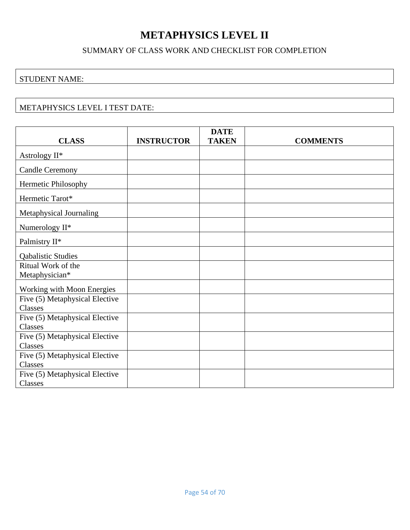# **METAPHYSICS LEVEL II**

#### SUMMARY OF CLASS WORK AND CHECKLIST FOR COMPLETION

### <span id="page-53-0"></span>STUDENT NAME:

#### METAPHYSICS LEVEL I TEST DATE:

|                                                  |                   | <b>DATE</b>  |                 |
|--------------------------------------------------|-------------------|--------------|-----------------|
| <b>CLASS</b>                                     | <b>INSTRUCTOR</b> | <b>TAKEN</b> | <b>COMMENTS</b> |
| Astrology II*                                    |                   |              |                 |
| <b>Candle Ceremony</b>                           |                   |              |                 |
| Hermetic Philosophy                              |                   |              |                 |
| Hermetic Tarot*                                  |                   |              |                 |
| Metaphysical Journaling                          |                   |              |                 |
| Numerology II*                                   |                   |              |                 |
| Palmistry II*                                    |                   |              |                 |
| <b>Qabalistic Studies</b>                        |                   |              |                 |
| Ritual Work of the                               |                   |              |                 |
| Metaphysician*                                   |                   |              |                 |
| Working with Moon Energies                       |                   |              |                 |
| Five (5) Metaphysical Elective<br>Classes        |                   |              |                 |
| Five (5) Metaphysical Elective<br><b>Classes</b> |                   |              |                 |
| Five (5) Metaphysical Elective<br>Classes        |                   |              |                 |
| Five (5) Metaphysical Elective<br>Classes        |                   |              |                 |
| Five (5) Metaphysical Elective<br>Classes        |                   |              |                 |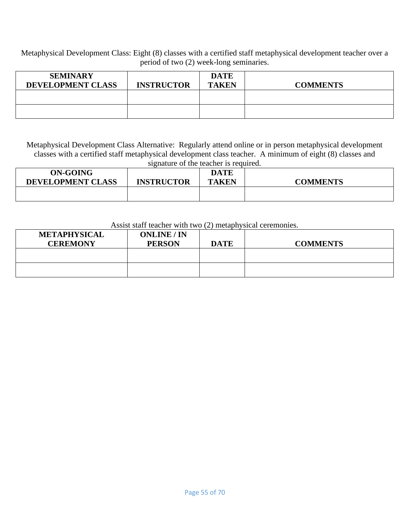Metaphysical Development Class: Eight (8) classes with a certified staff metaphysical development teacher over a period of two (2) week-long seminaries.

| <b>SEMINARY</b><br><b>DEVELOPMENT CLASS</b> | <b>INSTRUCTOR</b> | <b>DATE</b><br><b>TAKEN</b> | <b>COMMENTS</b> |
|---------------------------------------------|-------------------|-----------------------------|-----------------|
|                                             |                   |                             |                 |
|                                             |                   |                             |                 |

Metaphysical Development Class Alternative: Regularly attend online or in person metaphysical development classes with a certified staff metaphysical development class teacher. A minimum of eight (8) classes and signature of the teacher is required.

| <b>ON-GOING</b>          |                   | <b>DATE</b>  |                 |
|--------------------------|-------------------|--------------|-----------------|
| <b>DEVELOPMENT CLASS</b> | <b>INSTRUCTOR</b> | <b>TAKEN</b> | <b>COMMENTS</b> |
|                          |                   |              |                 |
|                          |                   |              |                 |

#### Assist staff teacher with two (2) metaphysical ceremonies.

| <b>METAPHYSICAL</b><br><b>CEREMONY</b> | <b>ONLINE / IN</b><br><b>PERSON</b> | <b>DATE</b> | <b>COMMENTS</b> |
|----------------------------------------|-------------------------------------|-------------|-----------------|
|                                        |                                     |             |                 |
|                                        |                                     |             |                 |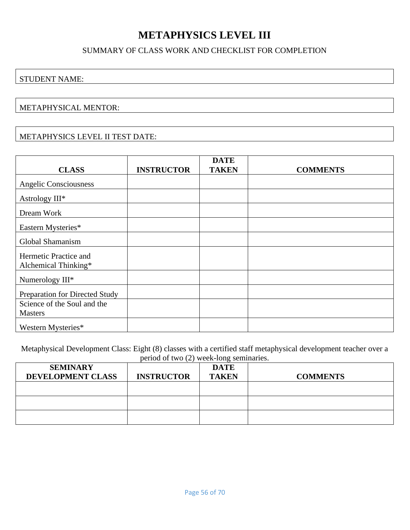# **METAPHYSICS LEVEL III**

#### SUMMARY OF CLASS WORK AND CHECKLIST FOR COMPLETION

#### <span id="page-55-0"></span>STUDENT NAME:

#### METAPHYSICAL MENTOR:

#### METAPHYSICS LEVEL II TEST DATE:

| <b>CLASS</b>                   | <b>INSTRUCTOR</b> | <b>DATE</b><br><b>TAKEN</b> | <b>COMMENTS</b> |
|--------------------------------|-------------------|-----------------------------|-----------------|
|                                |                   |                             |                 |
| <b>Angelic Consciousness</b>   |                   |                             |                 |
| Astrology III*                 |                   |                             |                 |
| Dream Work                     |                   |                             |                 |
| Eastern Mysteries*             |                   |                             |                 |
| Global Shamanism               |                   |                             |                 |
| Hermetic Practice and          |                   |                             |                 |
| Alchemical Thinking*           |                   |                             |                 |
| Numerology III*                |                   |                             |                 |
| Preparation for Directed Study |                   |                             |                 |
| Science of the Soul and the    |                   |                             |                 |
| <b>Masters</b>                 |                   |                             |                 |
| Western Mysteries*             |                   |                             |                 |

Metaphysical Development Class: Eight (8) classes with a certified staff metaphysical development teacher over a period of two (2) week-long seminaries.

| <b>SEMINARY</b><br>DEVELOPMENT CLASS | <b>INSTRUCTOR</b> | <b>DATE</b><br><b>TAKEN</b> | <b>COMMENTS</b> |
|--------------------------------------|-------------------|-----------------------------|-----------------|
|                                      |                   |                             |                 |
|                                      |                   |                             |                 |
|                                      |                   |                             |                 |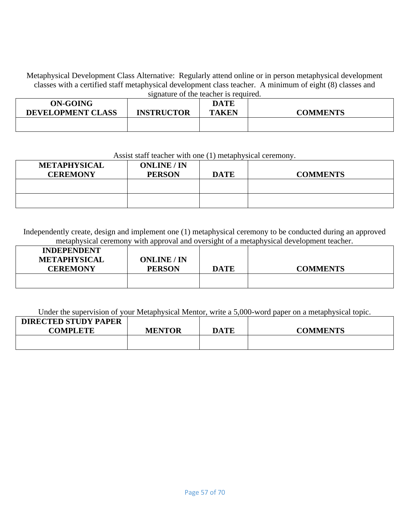Metaphysical Development Class Alternative: Regularly attend online or in person metaphysical development classes with a certified staff metaphysical development class teacher. A minimum of eight (8) classes and signature of the teacher is required.

| ON-GOING                 |                   | <b>DATE</b>  |                 |
|--------------------------|-------------------|--------------|-----------------|
| <b>DEVELOPMENT CLASS</b> | <b>INSTRUCTOR</b> | <b>TAKEN</b> | <b>COMMENTS</b> |
|                          |                   |              |                 |
|                          |                   |              |                 |

#### Assist staff teacher with one (1) metaphysical ceremony.

| <b>METAPHYSICAL</b><br><b>CEREMONY</b> | <b>ONLINE</b> / IN<br><b>PERSON</b> | <b>DATE</b> | <b>COMMENTS</b> |
|----------------------------------------|-------------------------------------|-------------|-----------------|
|                                        |                                     |             |                 |
|                                        |                                     |             |                 |

Independently create, design and implement one (1) metaphysical ceremony to be conducted during an approved metaphysical ceremony with approval and oversight of a metaphysical development teacher.

| <b>INDEPENDENT</b><br><b>METAPHYSICAL</b><br><b>CEREMONY</b> | <b>ONLINE / IN</b><br><b>PERSON</b> | DATE | <b>COMMENTS</b> |
|--------------------------------------------------------------|-------------------------------------|------|-----------------|
|                                                              |                                     |      |                 |

Under the supervision of your Metaphysical Mentor, write a 5,000-word paper on a metaphysical topic.

| <b>DIRECTED STUDY PAPER</b><br><b>COMPLETE</b> | <b>MENTOR</b> | <b>DATE</b> | <b>COMMENTS</b> |
|------------------------------------------------|---------------|-------------|-----------------|
|                                                |               |             |                 |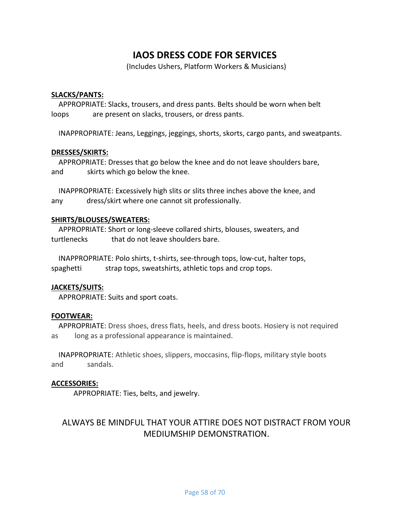## **IAOS DRESS CODE FOR SERVICES**

(Includes Ushers, Platform Workers & Musicians)

#### **SLACKS/PANTS:**

 APPROPRIATE: Slacks, trousers, and dress pants. Belts should be worn when belt loops are present on slacks, trousers, or dress pants.

INAPPROPRIATE: Jeans, Leggings, jeggings, shorts, skorts, cargo pants, and sweatpants.

#### **DRESSES/SKIRTS:**

 APPROPRIATE: Dresses that go below the knee and do not leave shoulders bare, and skirts which go below the knee.

 INAPPROPRIATE: Excessively high slits or slits three inches above the knee, and any dress/skirt where one cannot sit professionally.

#### **SHIRTS/BLOUSES/SWEATERS:**

 APPROPRIATE: Short or long-sleeve collared shirts, blouses, sweaters, and turtlenecks that do not leave shoulders bare.

 INAPPROPRIATE: Polo shirts, t-shirts, see-through tops, low-cut, halter tops, spaghetti strap tops, sweatshirts, athletic tops and crop tops.

#### **JACKETS/SUITS:**

APPROPRIATE: Suits and sport coats.

#### **FOOTWEAR:**

 APPROPRIATE: Dress shoes, dress flats, heels, and dress boots. Hosiery is not required as long as a professional appearance is maintained.

 INAPPROPRIATE: Athletic shoes, slippers, moccasins, flip-flops, military style boots and sandals.

#### **ACCESSORIES:**

APPROPRIATE: Ties, belts, and jewelry.

### ALWAYS BE MINDFUL THAT YOUR ATTIRE DOES NOT DISTRACT FROM YOUR MEDIUMSHIP DEMONSTRATION.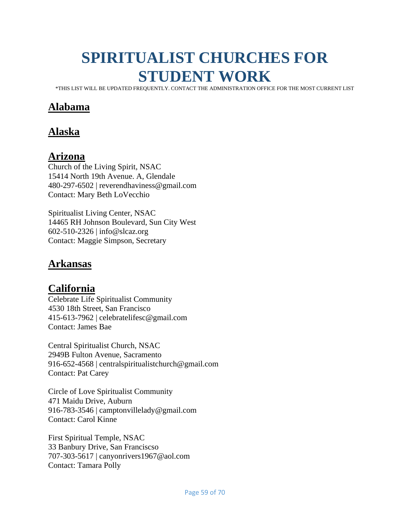# <span id="page-58-0"></span>**SPIRITUALIST CHURCHES FOR STUDENT WORK**

\*THIS LIST WILL BE UPDATED FREQUENTLY. CONTACT THE ADMINISTRATION OFFICE FOR THE MOST CURRENT LIST

# **Alabama**

# **Alaska**

### **Arizona**

Church of the Living Spirit, NSAC 15414 North 19th Avenue. A, Glendale 480-297-6502 | reverendhaviness@gmail.com Contact: Mary Beth LoVecchio

Spiritualist Living Center, NSAC 14465 RH Johnson Boulevard, Sun City West 602-510-2326 | info@slcaz.org Contact: Maggie Simpson, Secretary

### **Arkansas**

# **California**

Celebrate Life Spiritualist Community 4530 18th Street, San Francisco 415-613-7962 | celebratelifesc@gmail.com Contact: James Bae

Central Spiritualist Church, NSAC 2949B Fulton Avenue, Sacramento 916-652-4568 | centralspiritualistchurch@gmail.com Contact: Pat Carey

Circle of Love Spiritualist Community 471 Maidu Drive, Auburn 916-783-3546 | camptonvillelady@gmail.com Contact: Carol Kinne

First Spiritual Temple, NSAC 33 Banbury Drive, San Franciscso 707-303-5617 | canyonrivers1967@aol.com Contact: Tamara Polly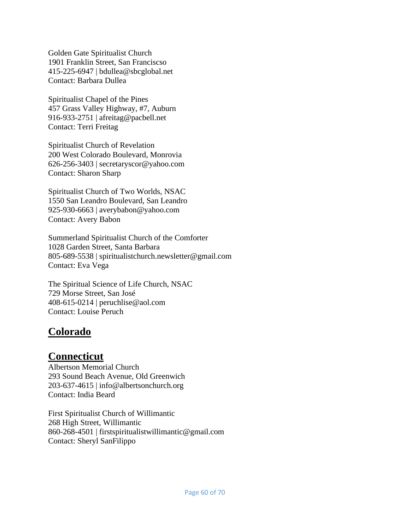Golden Gate Spiritualist Church 1901 Franklin Street, San Franciscso 415-225-6947 | bdullea@sbcglobal.net Contact: Barbara Dullea

Spiritualist Chapel of the Pines 457 Grass Valley Highway, #7, Auburn 916-933-2751 | afreitag@pacbell.net Contact: Terri Freitag

Spiritualist Church of Revelation 200 West Colorado Boulevard, Monrovia 626-256-3403 | secretaryscor@yahoo.com Contact: Sharon Sharp

Spiritualist Church of Two Worlds, NSAC 1550 San Leandro Boulevard, San Leandro 925-930-6663 | averybabon@yahoo.com Contact: Avery Babon

Summerland Spiritualist Church of the Comforter 1028 Garden Street, Santa Barbara 805-689-5538 | spiritualistchurch.newsletter@gmail.com Contact: Eva Vega

The Spiritual Science of Life Church, NSAC 729 Morse Street, San José 408-615-0214 | peruchlise@aol.com Contact: Louise Peruch

# **Colorado**

### **Connecticut**

Albertson Memorial Church 293 Sound Beach Avenue, Old Greenwich 203-637-4615 | info@albertsonchurch.org Contact: India Beard

First Spiritualist Church of Willimantic 268 High Street, Willimantic 860-268-4501 | firstspiritualistwillimantic@gmail.com Contact: Sheryl SanFilippo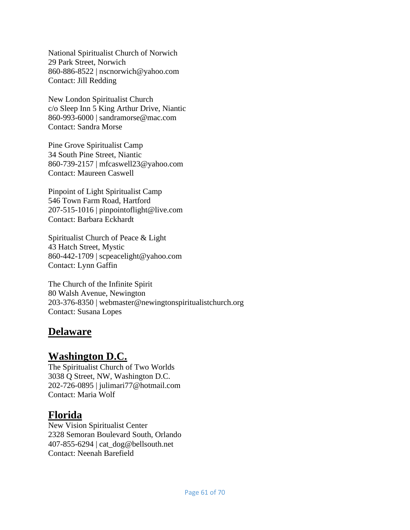National Spiritualist Church of Norwich 29 Park Street, Norwich 860-886-8522 | nscnorwich@yahoo.com Contact: Jill Redding

New London Spiritualist Church c/o Sleep Inn 5 King Arthur Drive, Niantic 860-993-6000 | sandramorse@mac.com Contact: Sandra Morse

Pine Grove Spiritualist Camp 34 South Pine Street, Niantic 860-739-2157 | mfcaswell23@yahoo.com Contact: Maureen Caswell

Pinpoint of Light Spiritualist Camp 546 Town Farm Road, Hartford 207-515-1016 | pinpointoflight@live.com Contact: Barbara Eckhardt

Spiritualist Church of Peace & Light 43 Hatch Street, Mystic 860-442-1709 | scpeacelight@yahoo.com Contact: Lynn Gaffin

The Church of the Infinite Spirit 80 Walsh Avenue, Newington 203-376-8350 | webmaster@newingtonspiritualistchurch.org Contact: Susana Lopes

# **Delaware**

# **Washington D.C.**

The Spiritualist Church of Two Worlds 3038 Q Street, NW, Washington D.C. 202-726-0895 | julimari77@hotmail.com Contact: Maria Wolf

# **Florida**

New Vision Spiritualist Center 2328 Semoran Boulevard South, Orlando 407-855-6294  $|cat dog@bellsouth.net$ Contact: Neenah Barefield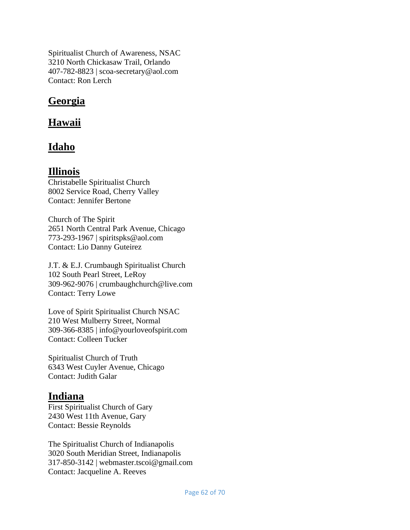Spiritualist Church of Awareness, NSAC 3210 North Chickasaw Trail, Orlando 407-782-8823 | scoa-secretary@aol.com Contact: Ron Lerch

# **Georgia**

## **Hawaii**

# **Idaho**

### **Illinois**

Christabelle Spiritualist Church 8002 Service Road, Cherry Valley Contact: Jennifer Bertone

Church of The Spirit 2651 North Central Park Avenue, Chicago 773-293-1967 | spiritspks@aol.com Contact: Lio Danny Guteirez

J.T. & E.J. Crumbaugh Spiritualist Church 102 South Pearl Street, LeRoy 309-962-9076 | crumbaughchurch@live.com Contact: Terry Lowe

Love of Spirit Spiritualist Church NSAC 210 West Mulberry Street, Normal 309-366-8385 | info@yourloveofspirit.com Contact: Colleen Tucker

Spiritualist Church of Truth 6343 West Cuyler Avenue, Chicago Contact: Judith Galar

### **Indiana**

First Spiritualist Church of Gary 2430 West 11th Avenue, Gary Contact: Bessie Reynolds

The Spiritualist Church of Indianapolis 3020 South Meridian Street, Indianapolis 317-850-3142 | webmaster.tscoi@gmail.com Contact: Jacqueline A. Reeves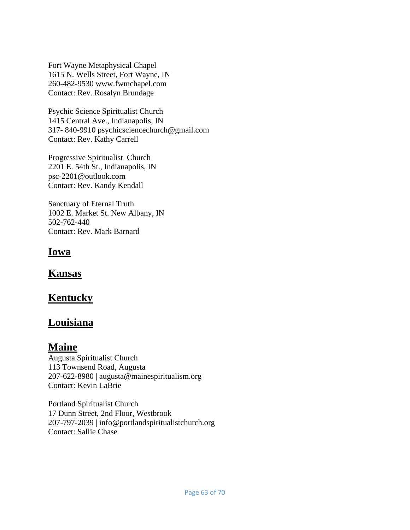Fort Wayne Metaphysical Chapel 1615 N. Wells Street, Fort Wayne, IN 260-482-9530 www.fwmchapel.com Contact: Rev. Rosalyn Brundage

Psychic Science Spiritualist Church 1415 Central Ave., Indianapolis, IN 317- 840-9910 psychicsciencechurch@gmail.com Contact: Rev. Kathy Carrell

Progressive Spiritualist Church 2201 E. 54th St., Indianapolis, IN psc-2201@outlook.com Contact: Rev. Kandy Kendall

Sanctuary of Eternal Truth 1002 E. Market St. New Albany, IN 502-762-440 Contact: Rev. Mark Barnard

### **Iowa**

**Kansas**

# **Kentucky**

# **Louisiana**

### **Maine**

Augusta Spiritualist Church 113 Townsend Road, Augusta 207-622-8980 | augusta@mainespiritualism.org Contact: Kevin LaBrie

Portland Spiritualist Church 17 Dunn Street, 2nd Floor, Westbrook 207-797-2039 | info@portlandspiritualistchurch.org Contact: Sallie Chase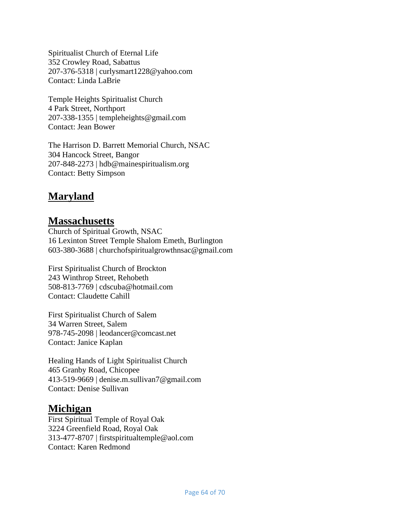Spiritualist Church of Eternal Life 352 Crowley Road, Sabattus 207-376-5318 | curlysmart1228@yahoo.com Contact: Linda LaBrie

Temple Heights Spiritualist Church 4 Park Street, Northport 207-338-1355 | templeheights@gmail.com Contact: Jean Bower

The Harrison D. Barrett Memorial Church, NSAC 304 Hancock Street, Bangor 207-848-2273 | hdb@mainespiritualism.org Contact: Betty Simpson

# **Maryland**

# **Massachusetts**

Church of Spiritual Growth, NSAC 16 Lexinton Street Temple Shalom Emeth, Burlington 603-380-3688 | churchofspiritualgrowthnsac@gmail.com

First Spiritualist Church of Brockton 243 Winthrop Street, Rehobeth 508-813-7769 | cdscuba@hotmail.com Contact: Claudette Cahill

First Spiritualist Church of Salem 34 Warren Street, Salem 978-745-2098 | leodancer@comcast.net Contact: Janice Kaplan

Healing Hands of Light Spiritualist Church 465 Granby Road, Chicopee 413-519-9669 | denise.m.sullivan7@gmail.com Contact: Denise Sullivan

### **Michigan**

First Spiritual Temple of Royal Oak 3224 Greenfield Road, Royal Oak 313-477-8707 | firstspiritualtemple@aol.com Contact: Karen Redmond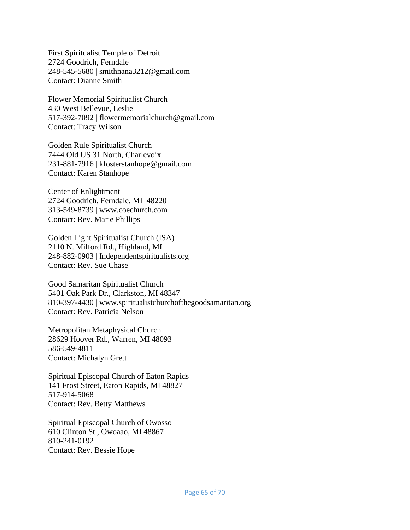First Spiritualist Temple of Detroit 2724 Goodrich, Ferndale 248-545-5680 | smithnana3212@gmail.com Contact: Dianne Smith

Flower Memorial Spiritualist Church 430 West Bellevue, Leslie 517-392-7092 | flowermemorialchurch@gmail.com Contact: Tracy Wilson

Golden Rule Spiritualist Church 7444 Old US 31 North, Charlevoix 231-881-7916 | kfosterstanhope@gmail.com Contact: Karen Stanhope

Center of Enlightment 2724 Goodrich, Ferndale, MI 48220 313-549-8739 | www.coechurch.com Contact: Rev. Marie Phillips

Golden Light Spiritualist Church (ISA) 2110 N. Milford Rd., Highland, MI 248-882-0903 | Independentspiritualists.org Contact: Rev. Sue Chase

Good Samaritan Spiritualist Church 5401 Oak Park Dr., Clarkston, MI 48347 810-397-4430 | www.spiritualistchurchofthegoodsamaritan.org Contact: Rev. Patricia Nelson

Metropolitan Metaphysical Church 28629 Hoover Rd., Warren, MI 48093 586-549-4811 Contact: Michalyn Grett

Spiritual Episcopal Church of Eaton Rapids 141 Frost Street, Eaton Rapids, MI 48827 517-914-5068 Contact: Rev. Betty Matthews

Spiritual Episcopal Church of Owosso 610 Clinton St., Owoaao, MI 48867 810-241-0192 Contact: Rev. Bessie Hope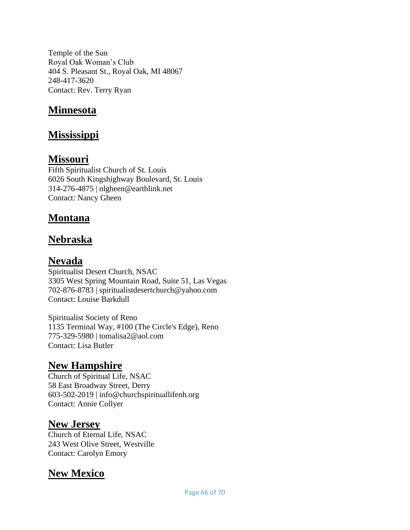Temple of the Sun Royal Oak Woman's Club 404 S. Pleasant St., Royal Oak, MI 48067 248-417-3620 Contact: Rev. Terry Ryan

# **Minnesota**

# **Mississippi**

## **Missouri**

Fifth Spiritualist Church of St. Louis 6026 South Kingshighway Boulevard, St. Louis 314-276-4875 | nlgheen@earthlink.net Contact: Nancy Gheen

# **Montana**

# **Nebraska**

# **Nevada**

Spiritualist Desert Church, NSAC 3305 West Spring Mountain Road, Suite 51, Las Vegas 702-876-8783 | spiritualistdesertchurch@yahoo.com Contact: Louise Barkdull

Spiritualist Society of Reno 1135 Terminal Way, #100 (The Circle's Edge), Reno 775-329-5980 | tomalisa2@aol.com Contact: Lisa Butler

# **New Hampshire**

Church of Spiritual Life, NSAC 58 East Broadway Street, Derry 603-502-2019 | info@churchspirituallifenh.org Contact: Annie Collyer

### **New Jersey**

Church of Eternal Life, NSAC 243 West Olive Street, Westville Contact: Carolyn Emory

# **New Mexico**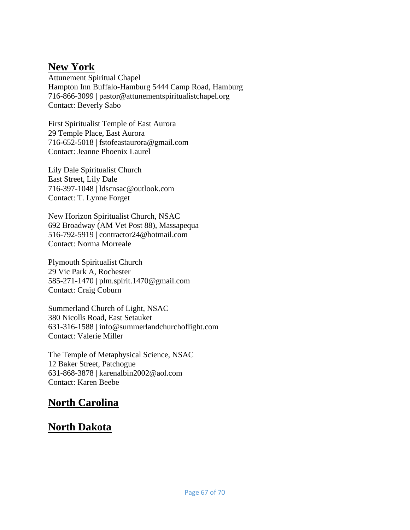## **New York**

Attunement Spiritual Chapel Hampton Inn Buffalo-Hamburg 5444 Camp Road, Hamburg 716-866-3099 | pastor@attunementspiritualistchapel.org Contact: Beverly Sabo

First Spiritualist Temple of East Aurora 29 Temple Place, East Aurora 716-652-5018 | fstofeastaurora@gmail.com Contact: Jeanne Phoenix Laurel

Lily Dale Spiritualist Church East Street, Lily Dale 716-397-1048 | ldscnsac@outlook.com Contact: T. Lynne Forget

New Horizon Spiritualist Church, NSAC 692 Broadway (AM Vet Post 88), Massapequa 516-792-5919 | contractor24@hotmail.com Contact: Norma Morreale

Plymouth Spiritualist Church 29 Vic Park A, Rochester 585-271-1470 | plm.spirit.1470@gmail.com Contact: Craig Coburn

Summerland Church of Light, NSAC 380 Nicolls Road, East Setauket 631-316-1588 | info@summerlandchurchoflight.com Contact: Valerie Miller

The Temple of Metaphysical Science, NSAC 12 Baker Street, Patchogue 631-868-3878 | karenalbin2002@aol.com Contact: Karen Beebe

# **North Carolina**

# **North Dakota**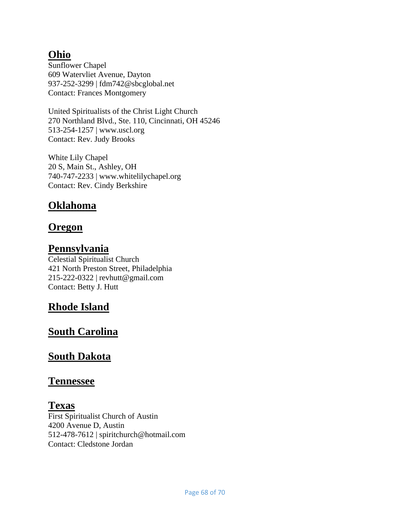# **Ohio**

Sunflower Chapel 609 Watervliet Avenue, Dayton 937-252-3299 | fdm742@sbcglobal.net Contact: Frances Montgomery

United Spiritualists of the Christ Light Church 270 Northland Blvd., Ste. 110, Cincinnati, OH 45246 513-254-1257 | www.uscl.org Contact: Rev. Judy Brooks

White Lily Chapel 20 S, Main St., Ashley, OH 740-747-2233 | www.whitelilychapel.org Contact: Rev. Cindy Berkshire

# **Oklahoma**

# **Oregon**

## **Pennsylvania**

Celestial Spiritualist Church 421 North Preston Street, Philadelphia 215-222-0322 | revhutt@gmail.com Contact: Betty J. Hutt

# **Rhode Island**

# **South Carolina**

# **South Dakota**

### **Tennessee**

### **Texas**

First Spiritualist Church of Austin 4200 Avenue D, Austin 512-478-7612 | spiritchurch@hotmail.com Contact: Cledstone Jordan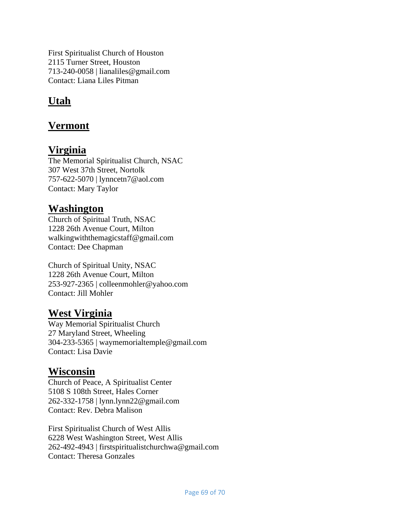First Spiritualist Church of Houston 2115 Turner Street, Houston 713-240-0058 | lianaliles@gmail.com Contact: Liana Liles Pitman

# **Utah**

# **Vermont**

# **Virginia**

The Memorial Spiritualist Church, NSAC 307 West 37th Street, Nortolk 757-622-5070 | lynncetn7@aol.com Contact: Mary Taylor

# **Washington**

Church of Spiritual Truth, NSAC 1228 26th Avenue Court, Milton walkingwiththemagicstaff@gmail.com Contact: Dee Chapman

Church of Spiritual Unity, NSAC 1228 26th Avenue Court, Milton 253-927-2365 | colleenmohler@yahoo.com Contact: Jill Mohler

# **West Virginia**

Way Memorial Spiritualist Church 27 Maryland Street, Wheeling 304-233-5365 | waymemorialtemple@gmail.com Contact: Lisa Davie

# **Wisconsin**

Church of Peace, A Spiritualist Center 5108 S 108th Street, Hales Corner 262-332-1758 | lynn.lynn22@gmail.com Contact: Rev. Debra Malison

First Spiritualist Church of West Allis 6228 West Washington Street, West Allis 262-492-4943 | firstspiritualistchurchwa@gmail.com Contact: Theresa Gonzales